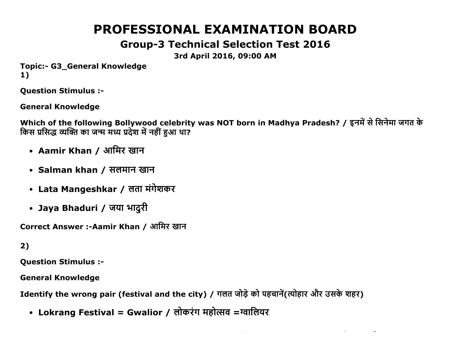# PROFESSIONAL EXAMINATION BOARD

# Group3 Technical Selection Test 2016

3rd April 2016, 09:00 AM

Topic:- G3 General Knowledge 1)

Question Stimulus :

General Knowledge

Which of the following Bollywood celebrity was NOT born in Madhya Pradesh? / इनमें से सिनेमा जगत के किस प्रसिद्ध व्यक्ति का जन्म मध्य प्रदेश में नहीं हुआ था?

- Aamir Khan / आमिर खान
- Salman khan / सलमान खान
- Lata Mangeshkar / लता मंगेशकर
- Jaya Bhaduri / जया भादुरी

Correct Answer :-Aamir Khan / आमिर खान

## 2)

Question Stimulus :

General Knowledge

Identify the wrong pair (festival and the city) / गलत जोड़े को पहचानें(त्योहार और उसके शहर)

• Lokrang Festival = Gwalior / लोकरंग महोत्सव =ग्वालियर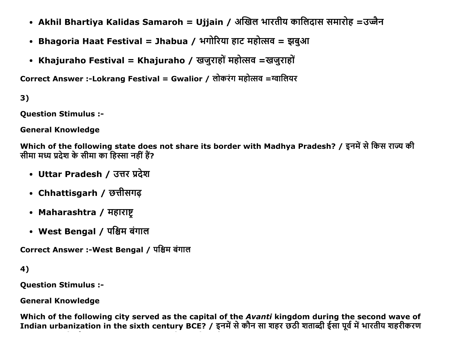- Akhil Bhartiya Kalidas Samaroh = Ujjain / अखिल भारतीय कालिदास समारोह =उज्जैन
- Bhagoria Haat Festival = Jhabua / भगोरिया हाट महोत्सव = झबुआ
- Khajuraho Festival = Khajuraho / खजुराहों महोत्सव =खजुराहों

Correct Answer :-Lokrang Festival = Gwalior / लोकरंग महोत्सव =ग्वालियर

 $3)$ 

**Ouestion Stimulus :-**

**General Knowledge** 

Which of the following state does not share its border with Madhya Pradesh? / इनमें से किस राज्य की सीमा मध्य प्रदेश के सीमा का हिस्सा नहीं हैं?

- Uttar Pradesh / उत्तर प्रदेश
- Chhattisgarh / छत्तीसगढ
- Maharashtra / महाराष्ट
- West Bengal / पश्चिम बंगाल

Correct Answer :-West Bengal / पश्चिम बंगाल

```
4)
```
**Ouestion Stimulus :-**

**General Knowledge** 

Which of the following city served as the capital of the Avanti kingdom during the second wave of Indian urbanization in the sixth century BCE? / इनमें से कौन सा शहर छठी शताब्दी ईसा पूर्व में भारतीय शहरीकरण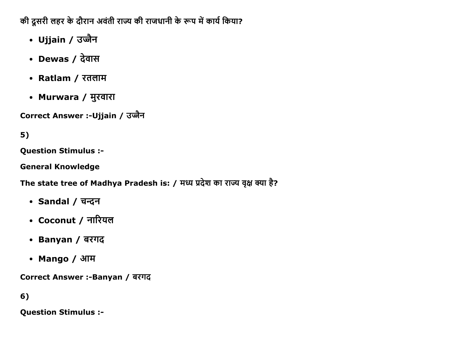की दूसरी लहर के दौरान अवंती राज्य की राजधानी के रूप में कार्य किया?

- Ujjain / उज्जैन
- Dewas / देवास
- Ratlam / रतलाम
- Murwara / मुरवारा

Correct Answer :-Ujjain / उज्जैन

# $5)$

**Question Stimulus :-**

**General Knowledge** 

The state tree of Madhya Pradesh is: / मध्य प्रदेश का राज्य वृक्ष क्या है?

- Sandal / चन्दन
- Coconut / नारियल
- Banyan / बरगद
- Mango / आम

Correct Answer :- Banyan / बरगद

 $6)$ 

**Question Stimulus :-**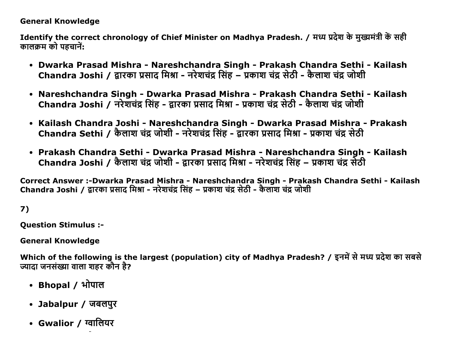#### General Knowledge

Identify the correct chronology of Chief Minister on Madhya Pradesh. / मध्य प्रदेश के मुख्यमंत्री कें सही कालक्रम को पहचानें:

- Dwarka Prasad Mishra Nareshchandra Singh Prakash Chandra Sethi Kailash Chandra Joshi / द्वारका प्रसाद मिश्रा - नरेशचंद्र सिंह – प्रकाश चंद्र सेठी - कैलाश चंद्र जोशी
- Nareshchandra Singh Dwarka Prasad Mishra Prakash Chandra Sethi Kailash Chandra Joshi / नरेशचंद्र सिंह - द्वारका प्रसाद मिश्रा - प्रकाश चंद्र सेठी - कैलाश चंद्र जोशी
- Kailash Chandra Joshi Nareshchandra Singh Dwarka Prasad Mishra Prakash Chandra Sethi / कैलाश चंद्र जोशी - नरेशचंद्र सिंह - द्रारका प्रसाद मिश्रा - प्रकाश चंद्र सेठी
- Prakash Chandra Sethi Dwarka Prasad Mishra Nareshchandra Singh Kailash Chandra Joshi / कैलाश चंद्र जोशी - द्रारका प्रसाद मिश्रा - नरेशचंद्र सिंह – प्रकाश चंद्र सेठी

Correct Answer :-Dwarka Prasad Mishra - Nareshchandra Singh - Prakash Chandra Sethi - Kailash Chandra Joshi / द्वारका प्रसाद मिश्रा - नरेशचंद्र सिंह – प्रकाश चंद्र सेठी - कैलाश चंद्र जोशी

7)

Question Stimulus :

General Knowledge

Which of the following is the largest (population) city of Madhya Pradesh? / इनमें से मध्य प्रदेश का सबसे ज्यादा जनसंख्या वाला शहर कौन है?

- Bhopal / भोपाल
- Jabalpur / जबलपुर
- Gwalior / ग्वालियर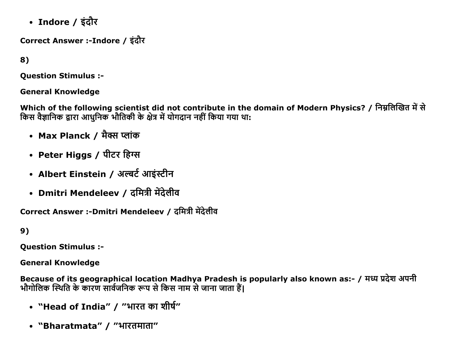• Indore / इंदौर

Correct Answer :-Indore / इंदौर

8)

**Ouestion Stimulus :-**

**General Knowledge** 

Which of the following scientist did not contribute in the domain of Modern Physics? / निम्नलिखित में से किस वैज्ञानिक द्वारा आधुनिक भौतिकी के क्षेत्र में योगदान नहीं किया गया था:

- Max Planck / मैक्स प्लांक
- Peter Higgs / पीटर हिग्स
- Albert Einstein / अल्बर्ट आइंस्टीन
- Dmitri Mendeleev / दमित्री मेंदेलीव

Correct Answer :-Dmitri Mendeleev / दमित्री मेंदेलीव

 $9)$ 

**Question Stimulus :-**

**General Knowledge** 

Because of its geographical location Madhya Pradesh is popularly also known as:- / मध्य प्रदेश अपनी<br>भौगोलिक स्थिति के कारण सार्वजनिक रूप से किस नाम से जाना जाता हैं।

- "Head of India" / "भारत का शीर्ष"
- "Bharatmata" / "भारतमाता"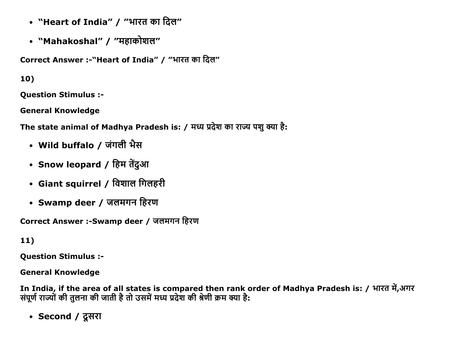- "Heart of India" / "भारत का दिल"
- "Mahakoshal" / "महाकोशल"

Correct Answer :-"Heart of India" / "भारत का दिल"

10)

**Ouestion Stimulus :-**

**General Knowledge** 

The state animal of Madhya Pradesh is: / मध्य प्रदेश का राज्य पशु क्या है:

- Wild buffalo / जंगली भैस
- Snow leopard / हिम तेंदुआ
- Giant squirrel / विशाल गिलहरी
- Swamp deer / जलमगन हिरण

Correct Answer :-Swamp deer / जलमगन हिरण

 $11)$ 

**Question Stimulus :-**

**General Knowledge** 

In India, if the area of all states is compared then rank order of Madhya Pradesh is: / भारत में,अगर संपूर्ण राज्यों की तुलना की जाती है तो उसमें मध्य प्रदेश की श्रेणी क्रम क्या है:

• Second / दूसरा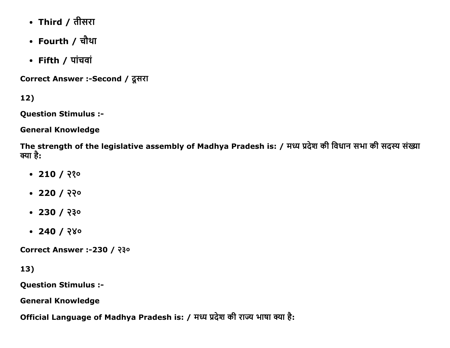- Third / तीसरा
- Fourth / चौथा
- Fifth  $/$   $\overline{u}$  riadi

Correct Answer :-Second / दूसरा

12)

Question Stimulus :

General Knowledge

The strength of the legislative assembly of Madhya Pradesh is: / मध्य प्रदेश की विधान सभा की सदस्य संख्या क्या है:

- $-210/220$
- $220 / 220$
- $-230/230$
- $-240 / 280$

Correct Answer :-230 / २३०

13)

Question Stimulus :

General Knowledge

Official Language of Madhya Pradesh is: / मध्य प्रदेश की राज्य भाषा क्या है: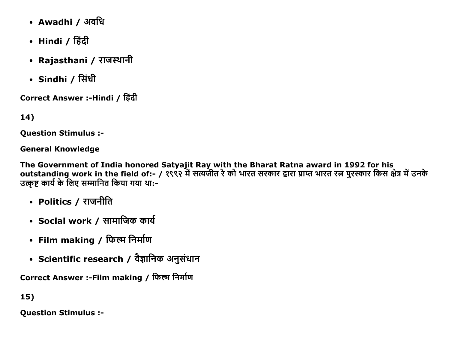- Awadhi / अवधि
- Hindi / हिंदी
- Rajasthani / राजस्थानी
- Sindhi / सिंधी

Correct Answer :-Hindi / हिंदी

14)

**Ouestion Stimulus :-**

**General Knowledge** 

The Government of India honored Satyajit Ray with the Bharat Ratna award in 1992 for his<br>outstanding work in the field of:- / १९९२ में सत्यजीत रे को भारत सरकार द्वारा प्राप्त भारत रत्न पुरस्कार किस क्षेत्र में उनके उत्कृष्ट कार्य के लिए सम्मानित किया गया था:-

- Politics / राजनीति
- Social work / सामाजिक कार्य
- Film making / फिल्म निर्माण
- Scientific research / वैज्ञानिक अनुसंधान

Correct Answer :-Film making / फिल्म निर्माण

15)

**Question Stimulus :-**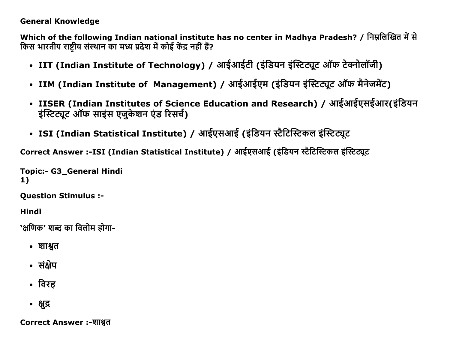#### **General Knowledge**

Which of the following Indian national institute has no center in Madhya Pradesh? / निम्नलिखित में से किस भारतीय राष्टीय संस्थान का मध्य प्रदेश में कोई केंद्र नहीं हैं?

- IIT (Indian Institute of Technology) / आईआईटी (इंडियन इंस्टिट्यूट ऑफ टेक्नोलॉजी)
- IIM (Indian Institute of Management) / आईआईएम (इंडियन इंस्टिट्यूट ऑफ मैनेजमेंट)
- IISER (Indian Institutes of Science Education and Research) / आईआईएसईआर(इंडियन इंस्टिट्यूट ऑफ साइंस एजुकेशन एंड रिसर्च)
- ISI (Indian Statistical Institute) / आईएसआई (इंडियन स्टैटिस्टिकल इंस्टिट्यूट

Correct Answer :-ISI (Indian Statistical Institute) / आईएसआई (इंडियन स्टैटिस्टिकल इंस्टिट्यूट

**Topic:- G3\_General Hindi**  $1)$ 

**Question Stimulus :-**

**Hindi** 

`क्षणिक' शब्द का विलोम होगा-

- शाश्वत
- संक्षेप
- विरह
- क्षुद्र

**Correct Answer :-शाश्वत**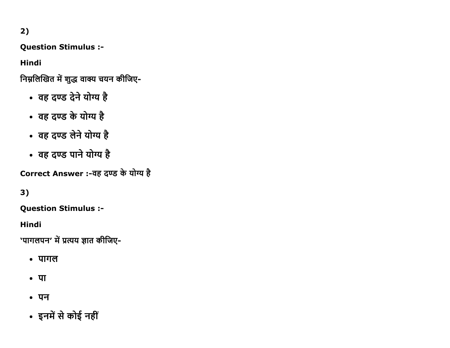2)

Question Stimulus :

Hindi

निम्नलिखित में शुद्ध वाक्य चयन कीजिए-

- वह दण्ड देने योग्य है
- वह दण्ड के योग्य है
- वह दण्ड लेने योग्य है
- वह दण्ड पाने योग्य है

Correct Answer :-वह दण्ड के योग्य है

3)

Question Stimulus :

Hindi

'पागलपन' में प्रत्यय ज्ञात कीजिए-

- $\cdot$  पागल
- $\cdot$   $\Pi$
- **पन**
- इनमें से कोई नहीं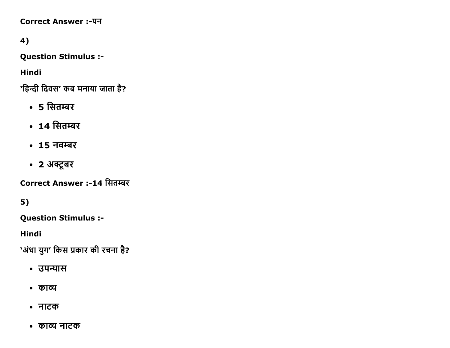**Correct Answer:-पन** 

4)

**Question Stimulus :-**

**Hindi** 

'हिन्दी दिवस' कब मनाया जाता है?

- 5 सितम्बर
- 14 सितम्बर
- 15 नवम्बर
- 2 अक्टूबर

Correct Answer :-14 सितम्बर

 $5)$ 

**Question Stimulus :-**

**Hindi** 

`अंधा युग' किस प्रकार की रचना है?

- उपन्यास
- काव्य
- नाटक
- काव्य नाटक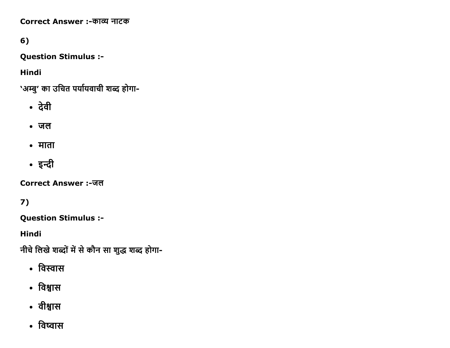Correct Answer :-काव्य नाटक

6)

**Question Stimulus :-**

**Hindi** 

'अम्बु' का उचित पर्यायवाची शब्द होगा-

- देवी
- $\bullet$  जल
- माता
- इन्दी

Correct Answer :-जल

 $7)$ 

**Question Stimulus :-**

**Hindi** 

नीचे लिखे शब्दों में से कौन सा शुद्ध शब्द होगा-

- विस्वास
- विश्वास
- वीश्वास
- विष्वास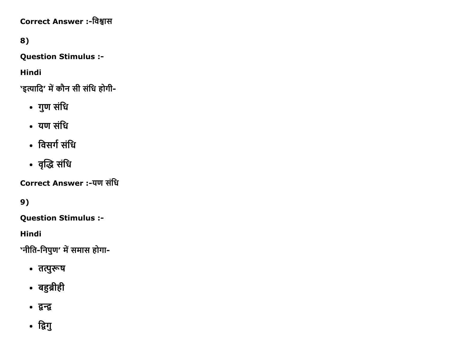Correct Answer :-विश्वास

8)

**Question Stimulus :-**

**Hindi** 

'इत्यादि' में कौन सी संधि होगी-

- गुण संधि
- यण संधि
- विसर्ग संधि
- वृद्धि संधि

**Correct Answer :-यण संधि** 

9)

**Question Stimulus :-**

**Hindi** 

'नीति-निपुण' में समास होगा-

- तत्पुरूष
- बहुब्रीही
- द्वन्द्व
- द्विगु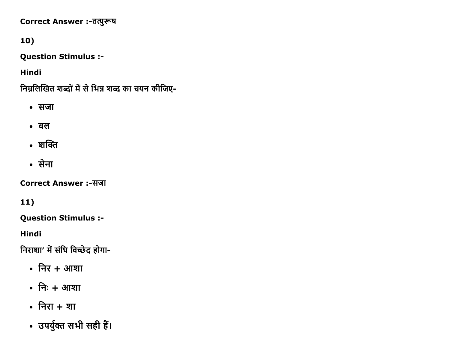Correct Answer :-तत्पुरूष

# 10)

**Question Stimulus :-**

**Hindi** 

निम्नलिखित शब्दों में से भिन्न शब्द का चयन कीजिए-

- सजा
- $\bullet$  act
- शक्ति
- सेना

**Correct Answer:-सजा** 

11)

**Question Stimulus :-**

**Hindi** 

निराशा' में संधि विच्छेद होगा-

- $\bullet$  निर + आशा
- निः + आशा
- निरा + शा
- उपर्युक्त सभी सही हैं।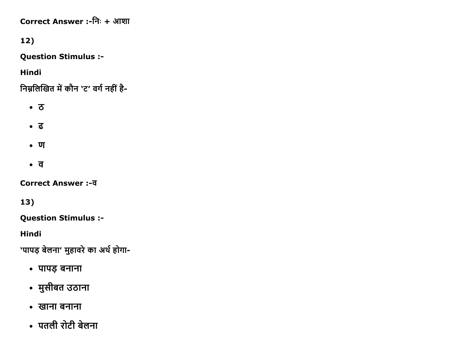Correct Answer :-निः + आशा

12)

**Question Stimulus :-**

**Hindi** 

निम्नलिखित में कौन 'ट' वर्ग नहीं है-

- $\bullet$  3
- ढ
- $\bullet$   $\overline{u}$
- $\bullet$   $\overline{q}$

**Correct Answer :-व** 

13)

**Question Stimulus :-**

**Hindi** 

'पापड़ बेलना' मुहावरे का अर्थ होगा-

- पापड़ बनाना
- मुसीबत उठाना
- खाना बनाना
- पतली रोटी बेलना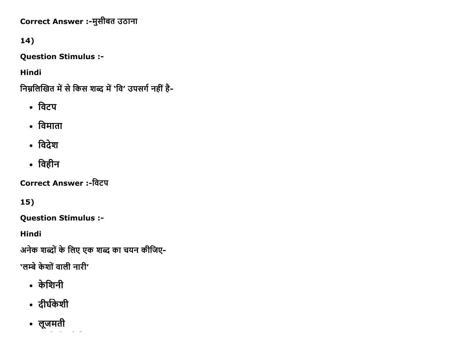Correct Answer :-मुसीबत उठाना

# 14)

**Question Stimulus :-**

**Hindi** 

निम्नलिखित में से किस शब्द में 'वि' उपसर्ग नहीं है-

- विटप
- विमाता
- विदेश
- विहीन

**Correct Answer :-विटप** 

15)

**Question Stimulus :-**

**Hindi** 

अनेक शब्दों के लिए एक शब्द का चयन कीजिए-

'लम्बे केशों वाली नारी'

- केशिनी
- दीर्घकेशी
- लूजमती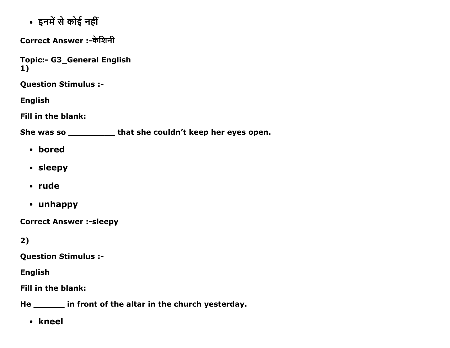• इनमें से कोई नहीं

Correct Answer :-केशिनी

Topic:- G3\_General English 1)

Question Stimulus :

English

Fill in the blank:

She was so \_\_\_\_\_\_\_\_\_ that she couldn't keep her eyes open.

- bored
- sleepy
- rude
- unhappy

**Correct Answer :- sleepy** 

2)

Question Stimulus :

English

Fill in the blank:

He \_\_\_\_\_\_ in front of the altar in the church yesterday.

• kneel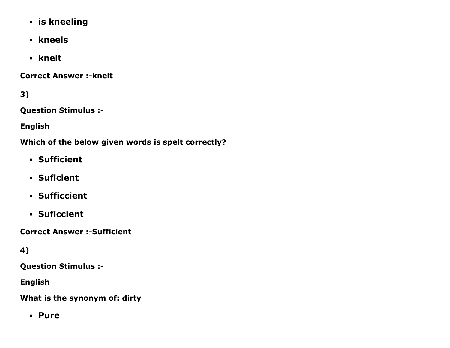- is kneeling
- kneels
- knelt

**Correct Answer :- knelt** 

3)

Question Stimulus :

English

Which of the below given words is spelt correctly?

- Sufficient
- Suficient
- Sufficcient
- Suficcient

**Correct Answer :- Sufficient** 

4)

Question Stimulus :

English

What is the synonym of: dirty

• Pure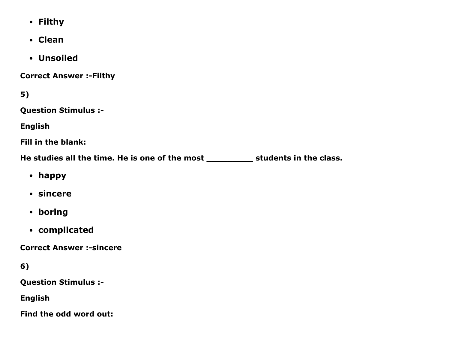- Filthy
- Clean
- Unsoiled

**Correct Answer :- Filthy** 

5)

Question Stimulus :

English

Fill in the blank:

He studies all the time. He is one of the most \_\_\_\_\_\_\_\_\_\_\_\_ students in the class.

- happy
- sincere
- boring
- complicated

**Correct Answer :- sincere** 

```
6)
```
Question Stimulus :

English

Find the odd word out: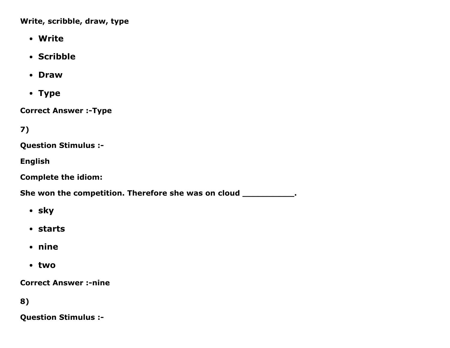Write, scribble, draw, type

- Write
- Scribble
- Draw
- Type

**Correct Answer :-Type** 

7)

Question Stimulus :

English

Complete the idiom:

She won the competition. Therefore she was on cloud \_\_\_\_\_\_\_\_\_\_\_\_.

- sky
- starts
- nine
- two

**Correct Answer :-nine** 

8)

Question Stimulus :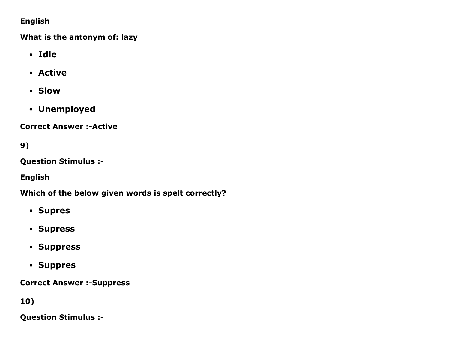### English

What is the antonym of: lazy

- Idle
- Active
- Slow
- Unemployed

**Correct Answer :- Active** 

9)

Question Stimulus :

English

Which of the below given words is spelt correctly?

- Supres
- Supress
- Suppress
- Suppres

**Correct Answer :- Suppress** 

10)

Question Stimulus :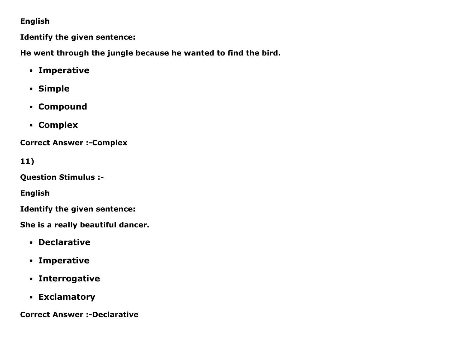### English

Identify the given sentence:

He went through the jungle because he wanted to find the bird.

- Imperative
- Simple
- Compound
- Complex

**Correct Answer :- Complex** 

11)

Question Stimulus :

English

Identify the given sentence:

She is a really beautiful dancer.

- Declarative
- Imperative
- Interrogative
- Exclamatory

**Correct Answer :-Declarative**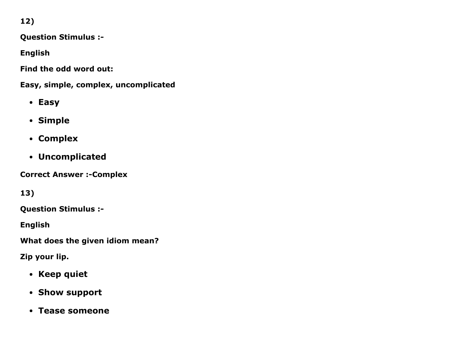12)

Question Stimulus :

English

Find the odd word out:

Easy, simple, complex, uncomplicated

- Easy
- Simple
- Complex
- Uncomplicated

**Correct Answer :- Complex** 

13)

Question Stimulus :

English

What does the given idiom mean?

Zip your lip.

- Keep quiet
- Show support
- Tease someone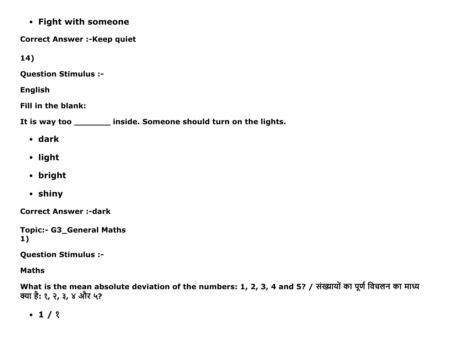• Fight with someone

**Correct Answer :- Keep quiet** 

14)

**Question Stimulus :-**

**English** 

Fill in the blank:

It is way too \_\_\_\_\_\_\_ inside. Someone should turn on the lights.

- $\bullet$  dark
- light
- bright
- shiny

**Correct Answer:-dark** 

```
Topic:- G3_General Maths
1)
```
**Question Stimulus :-**

**Maths** 

What is the mean absolute deviation of the numbers: 1, 2, 3, 4 and 5? / संख्यायों का पूर्ण विचलन का माध्य क्या है: १, २, ३, ४ और ५?

 $-1/3$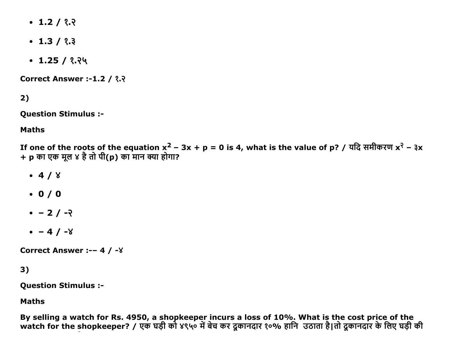- $\cdot$  1.2 / ?.?
- $\cdot$  1.3 /  $\frac{2}{3}$
- $\cdot$  1.25 / १.२५

**Correct Answer :-1.2 / ?.?** 

2)

Question Stimulus :

Maths

If one of the roots of the equation x<sup>2</sup> – 3x + p = 0 is 4, what is the value of p? / यदि समीकरण x<sup>२</sup> – ३x + p का एक मूल ४ है तो पी(p) का मान क्या होगा?

- $-4/8$
- $0 / 0$
- $-2/ -2$
- $-4 / -8$

Correct Answer :-- 4 / -8

### 3)

Question Stimulus :

Maths

By selling a watch for Rs. 4950, a shopkeeper incurs a loss of 10%. What is the cost price of the watch for the shopkeeper? / एक घड़ी को ४९५० में बेच कर दूकानदार १०% हानि उठाता है|तो दूकानदार के लिए घड़ी की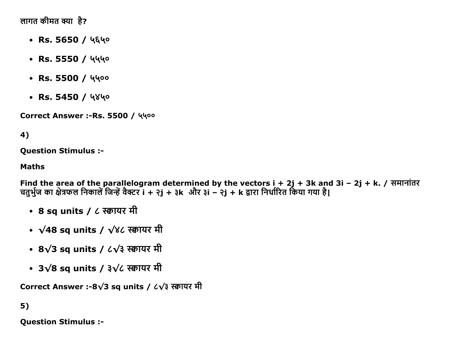लागत कीमत क्या है?

- $\cdot$  Rs. 5650 / ५६५०
- $\cdot$  Rs. 5550 / 4440
- $\cdot$  Rs. 5500 / 4400
- $\cdot$  Rs. 5450 / 4840

Correct Answer :- Rs. 5500 / 4400

# 4)

Question Stimulus :

#### Maths

Find the area of the parallelogram determined by the vectors  $i + 2j + 3k$  and  $3i - 2j + k$ . / समानांतर चतुर्भुज का क्षेत्रफल निकालें जिन्हें वैक्टर i + २j + ३k और ३i – २j + k द्वारा निर्धारित किया गया है।

- 8 sq units / ८ स्क्वायर मी
- $\sqrt{48}$  sq units /  $\sqrt{8}$ ८ स्क्वायर मी
- 8√3 sq units / ८√३ स्क्वायर मी
- $3√8$  sq units /  $3√6$  स्क्वायर मी

Correct Answer :-8√3 sq units /  $\angle\sqrt{3}$  स्क्वायर मी

### 5)

Question Stimulus :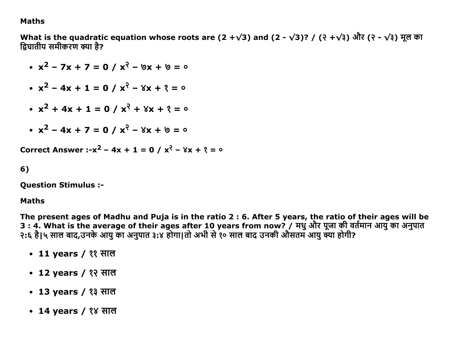#### **Maths**

What is the quadratic equation whose roots are (2 + $\sqrt{3}$ ) and (2 -  $\sqrt{3}$ )? / (२ + $\sqrt{3}$ ) और (२ -  $\sqrt{3}$ ) मूल का द्रिघातीय समीकरण क्या है?

• 
$$
x^2 - 7x + 7 = 0 / x^2 - 6x + 6 = 0
$$
  
\n•  $x^2 - 4x + 1 = 0 / x^2 - 8x + 8 = 0$   
\n•  $x^2 + 4x + 1 = 0 / x^3 + 8x + 8 = 0$   
\n•  $x^2 - 4x + 7 = 0 / x^3 - 8x + 6 = 0$ 

Correct Answer :- $x^2$  – 4x + 1 = 0 /  $x^2$  –  $8x + 2 = 0$ 

#### 6)

**Question Stimulus :-**

#### **Maths**

The present ages of Madhu and Puja is in the ratio 2 : 6. After 5 years, the ratio of their ages will be 

- 11 years / ११ साल
- 12 years / १२ साल
- 13 years / १३ साल
- 14 years / १४ साल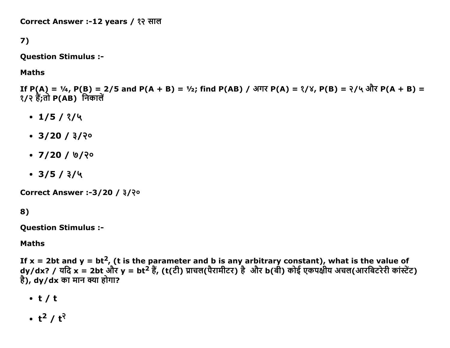Correct Answer :-12 years / १२ साल

7)

Question Stimulus :

Maths

If P(A) = ¼, P(B) = 2/5 and P(A + B) = ½; find P(AB) / अगर P(A) = ?/४, P(B) = ?/५ और P(A + B) =  $\sqrt{?}$  हैं;तो P(AB) निकालें

- $\cdot$  1/5/ $\frac{2}{4}$
- $\cdot$  3/20 /  $3/3$ <sup>o</sup>
- $\cdot$  7/20 / ७/२०
- $\cdot$  3/5 /  $3/4$

Correct Answer :-3/20 /  $3$ /२०

8)

Question Stimulus :

#### Maths

If x = 2bt and y = bt<sup>2</sup>, (t is the parameter and b is any arbitrary constant), what is the value of dy/dx? / यदि x = 2bt और y = bt<sup>2</sup> हैं, (t(टी) प्राचल(पैरामीटर) है और b(बी) कोई एकपक्षीय अचल(आरबिटरेरी कांस्टेंट)  $\hat{\vec{a}}$ ), dy/dx का मान क्या होगा?

- t / t
- t $^2$  / t $^2$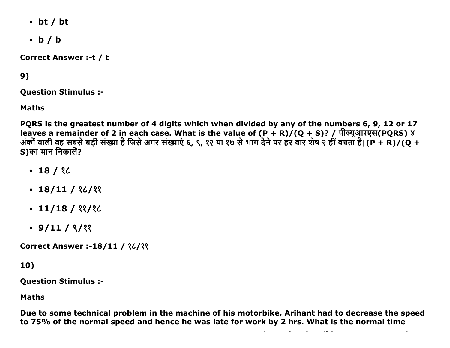- $\bullet$  bt / bt
- $\bullet$  b / b

**Correct Answer :- t / t** 

# 9)

**Ouestion Stimulus :-**

**Maths** 

PQRS is the greatest number of 4 digits which when divided by any of the numbers 6, 9, 12 or 17 leaves a remainder of 2 in each case. What is the value of  $(P + R)/(Q + S)$ ? / पीक्यूआरएस(PQRS) ४ अंकों वाली वह सबसे बड़ी संख्या है जिसे अगर संख्याएं ६, ९, १२ या १७ से भाग देने पर हर बार शेष २ हीं बचता है।(P + R)/(Q + S)का मान निकालें?

- $-18/32$
- $\cdot$  18/11 / 26/22
- $\cdot$  11/18 / 33/36
- $\cdot$  9/11 /  $\frac{8}{22}$

**Correct Answer :-18/11 / 36/33** 

10)

**Ouestion Stimulus :-**

**Maths** 

Due to some technical problem in the machine of his motorbike, Arihant had to decrease the speed to 75% of the normal speed and hence he was late for work by 2 hrs. What is the normal time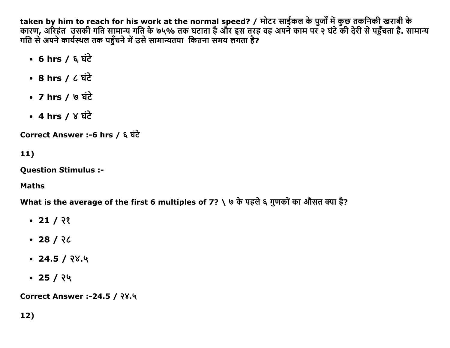taken by him to reach for his work at the normal speed? / मोटर साईकल के पुर्जों में कुछ तकनिकी खराबी के कारण, अरिहंत उसकी गति सामान्य गति के ७५% तक घटाता है और इस तरह वह अपने काम पर २ घंटे की देरी से पहुँचता है. सामान्य गति से अपने कार्यस्थल तक पहुँचने में उसे सामान्यतया कितना समय लगता है?

- $\cdot$  6 hrs / & घंटे
- 8 hrs /  $\zeta$   $\overrightarrow{u}$
- 7 hrs /  $\circ$   $\overrightarrow{4}$
- 4 hrs /  $8 \overrightarrow{4}$

Correct Answer :-6 hrs / ६ घंटे

 $11)$ 

**Question Stimulus :-**

**Maths** 

What is the average of the first 6 multiples of 7? \ ७ के पहले ६ गुणकों का औसत क्या है?

- $\cdot$  21 / ??
- $-28/26$
- $\cdot$  24.5 / २४.५
- $\cdot$  25 / २५

Correct Answer :-24.5 / २४.५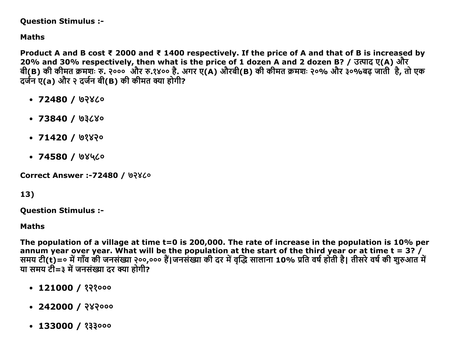#### Question Stimulus :

## Maths

Product A and B cost ₹ 2000 and ₹ 1400 respectively. If the price of A and that of B is increased by 20% and 30% respectively, then what is the price of 1 dozen A and 2 dozen B? / उत्पाद ए(A) और बी(Β) की कीमत क्रमशः रु. २००० और रु.१४०० है. अगर ए(A) औरबी(Β) की कीमत क्रमशः २०% और ३०%बढ़ जाती है, तो एक दर्जन ए(a) और २ दर्जन बी(B) की कीमत क्या होगी?

- $\cdot$  72480 / ७२४८०
- $\cdot$  73840 / 03680
- $\cdot$  71420 / ७१४२०
- $\cdot$  74580 / ७४५८०

**Correct Answer :-72480 / ७२४८०** 

# 13)

Question Stimulus :

#### Maths

The population of a village at time t=0 is 200,000. The rate of increase in the population is 10% per annum year over year. What will be the population at the start of the third year or at time t = 3? / समय टी(t)=॰ में गाव की जनसंख्या २००,००० है|जनसंख्या की दर में वृद्धि सालाना 10% प्रति वर्ष होती है| तीसरे वर्ष की शुरुआत में या समय टी=३ में जनसंख्या दर क्या होगी?

- $-121000 / ?$
- $-242000 / 282000$
- $-133000 / 233000$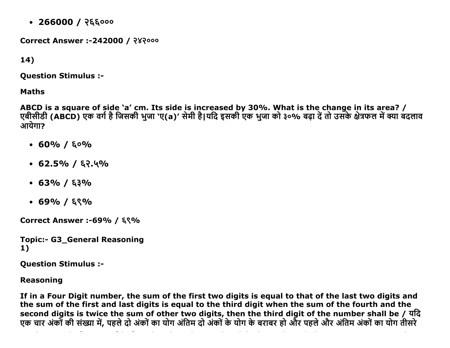$\cdot$  266000 / २६६०००

**Correct Answer :-242000 / २४२०००** 

 $14)$ 

**Ouestion Stimulus :-**

**Maths** 

ABCD is a square of side `a' cm. Its side is increased by 30%. What is the change in its area? /<br>एबीसीडी (ABCD) एक वर्ग है जिसकी भुजा `ए(a)' सेमी है|यदि इसकी एक भुजा को ३०% बढ़ा दें तो उसके क्षेत्रफल में क्या बदलाव आयेगा?

- $\cdot$  60% / &  $\circ$ %
- $\cdot$  62.5% / ६२.५%
- $\cdot$  63% / ६३%
- $\cdot$  69% / ६९%

Correct Answer :-69% / ६९%

**Topic:- G3 General Reasoning**  $1)$ 

**Question Stimulus :-**

**Reasoning** 

If in a Four Digit number, the sum of the first two digits is equal to that of the last two digits and the sum of the first and last digits is equal to the third digit when the sum of the fourth and the second digits is twice the sum of other two digits, then the third digit of the number shall be / यदि एक चार अंकों की संख्या में, पहले दो अंकों का योग अंतिम दो अंकों के योग के बराबर हो और पहले और अंतिम अंकों का योग तीसरे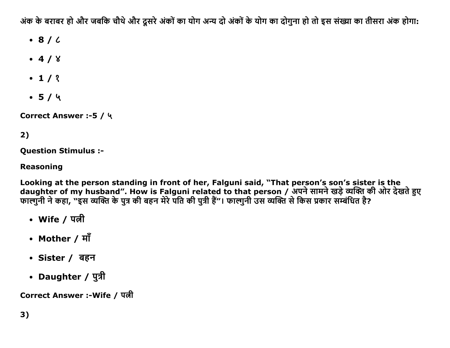अंक के बराबर हो और जबकि चौथे और दूसरे अंकों का योग अन्य दो अंकों के योग का दोगुना हो तो इस संख्या का तीसरा अंक होगा:

- $\bullet$  8/6
- $-4/8$
- $-1/2$
- $-5/4$

Correct Answer :- 5 / ५

# 2)

**Question Stimulus :-**

### **Reasoning**

Looking at the person standing in front of her, Falguni said, "That person's son's sister is the daughter of my husband". How is Falguni related to that person / अपने सामने खड़े व्यक्ति की ओर देखते हुए<br>फाल्गुनी ने कहा, "इस व्यक्ति के पुत्र की बहन मेरे पति की पुत्री हैं"। फाल्गुनी उस व्यक्ति से किस प्रकार सम्बंधित है?

- Wife / पत्नी
- Mother / माँ
- Sister / बहन
- Daughter / पुत्री

Correct Answer :-Wife / पत्नी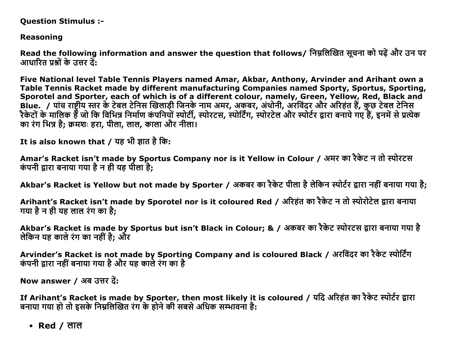**Question Stimulus :-**

**Reasoning** 

Read the following information and answer the question that follows/ निम्नलिखित सूचना को पढ़ें और उन पर आधारित प्रश्नों के उत्तर दें:

Five National level Table Tennis Players named Amar, Akbar, Anthony, Arvinder and Arihant own a Table Tennis Racket made by different manufacturing Companies named Sporty, Sportus, Sporting, Sporotel and Sporter, each of which is of a different colour, namely, Green, Yellow, Red, Black and Blue. / पांच राष्टीय स्तर के टेबल टेनिस खिलाड़ी जिनके नाम अमर, अकबर, अंथोनी, अरविंदर और अरिहंत हैं, कुछ टेबल टेनिस रैकेटों के मालिक हैं जो कि विभिन्न निर्माण कंपनियों स्पोर्टी, स्पोरटस, स्पोर्टिंग, स्पोरटेल और स्पोर्टर द्वारा बनाये गए हैं, इनमें से प्रत्येक का रंग भिन्न है: क्रमशः हरा, पीला, लाल, काला और नीला।

It is also known that / यह भी ज्ञात है कि:

Amar's Racket isn't made by Sportus Company nor is it Yellow in Colour / अमर का रैकेट न तो स्पोरटस कंपनी द्वारा बनाया गया है न ही यह पीला है;

Akbar's Racket is Yellow but not made by Sporter / अकबर का रैकेट पीला है लेकिन स्पोर्टर द्वारा नहीं बनाया गया है;

Arihant's Racket isn't made by Sporotel nor is it coloured Red / अरिहंत का रैकेट न तो स्पोरोटेल द्वारा बनाया गया है न ही यह लाल रंग का है:

Akbar's Racket is made by Sportus but isn't Black in Colour; & / अकबर का रैकेट स्पोरटस द्वारा बनाया गया है लेकिन यह काले रंग का नहीं है: और

Arvinder's Racket is not made by Sporting Company and is coloured Black / अरविंदर का रैकेट स्पोर्टिंग कंपनी द्रारा नहीं बनाया गया है और यह काले रंग का है

Now answer / अब उत्तर दें:

If Arihant's Racket is made by Sporter, then most likely it is coloured / यदि अरिहंत का रैकेट स्पोर्टर द्वारा बनाया गया हो तो इसके निम्नलिखित रंग के होने की सबसे अधिक सम्भावना है:

• Red / लाल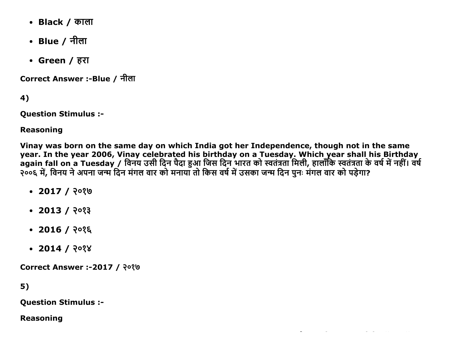- Black / काला
- Blue / नीला
- Green / हरा

Correct Answer :-Blue / नीला

4)

**Question Stimulus :-**

**Reasoning** 

Vinay was born on the same day on which India got her Independence, though not in the same year. In the year 2006, Vinay celebrated his birthday on a Tuesday. Which year shall his Birthday<br>again fall on a Tuesday / विनय उसी दिन पैदा हुआ जिस दिन भारत को स्वतंत्रता मिली, हालाँकि स्वतंत्रता के वर्ष में नहीं। वर्ष<br>

- $\cdot$  2017 / २०१७
- $\cdot$  2013 / २०१३
- $\bullet$  2016 / २०१६
- $\cdot$  2014 / २०१४

**Correct Answer :-2017 / २०१७** 

 $5)$ 

**Ouestion Stimulus :-**

**Reasoning**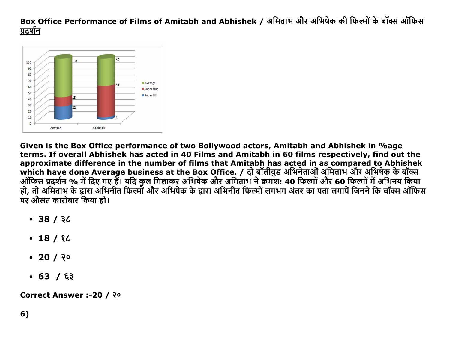# Box Office Performance of Films of Amitabh and Abhishek / अमिताभ और अभिषेक की फिल्मों के बॉक्स ऑफिस प्रदर्शन



Given is the Box Office performance of two Bollywood actors, Amitabh and Abhishek in %age terms. If overall Abhishek has acted in 40 Films and Amitabh in 60 films respectively, find out the approximate difference in the number of films that Amitabh has acted in as compared to Abhishek पर औसत कारोबार किया हो।

- $-38/32$
- $-18/32$
- $\cdot$  20 / २०
- $-63/63$

Correct Answer :-20 / २०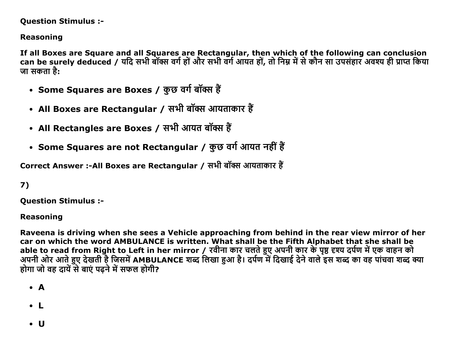### **Question Stimulus :-**

## **Reasoning**

If all Boxes are Square and all Squares are Rectangular, then which of the following can conclusion can be surely deduced / यदि सभी बॉक्स वर्ग हों और सभी वर्ग आयंत हों, तो निम्न में से कौन सा उपसंहार अवश्य ही प्राप्त किया जा सकता है:

- Some Squares are Boxes / कुछ वर्ग बॉक्स हैं
- All Boxes are Rectangular / सभी बॉक्स आयताकार हैं
- All Rectangles are Boxes / सभी आयत बॉक्स हैं
- Some Squares are not Rectangular / कुछ वर्ग आयत नहीं हैं

Correct Answer :-All Boxes are Rectangular / सभी बॉक्स आयताकार हैं

# 7)

**Ouestion Stimulus :-**

### **Reasoning**

Raveena is driving when she sees a Vehicle approaching from behind in the rear view mirror of her car on which the word AMBULANCE is written. What shall be the Fifth Alphabet that she shall be able to read from Right to Left in her mirror / रवीना कार चलते हुए अपनी कार के पृष्ठ दृश्य दर्पण में एक वाहन को अपनी ओर आते हुए देखती है जिसमें AMBULANCE शब्द लिखा हुआ है। दर्पण में दिखाई देने वाले इस शब्द का वह पांचवा शब्द क्या होगा जो वह दायें से बाएं पढने में सफल होगी?

- $\bullet$  A
- $\bullet$  L
- $\bullet$  U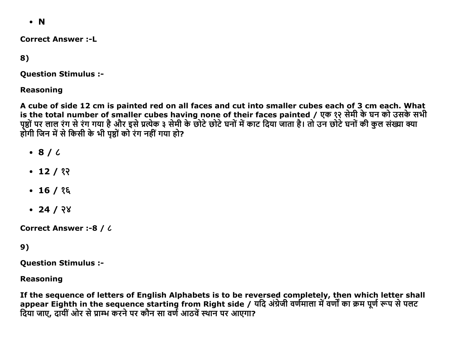$\bullet$  N

**Correct Answer:-I** 

8)

**Question Stimulus :-**

**Reasoning** 

A cube of side 12 cm is painted red on all faces and cut into smaller cubes each of 3 cm each. What is the total number of smaller cubes having none of their faces painted / एक १२ सेमी के घन को उसके सभी पृष्ठों पर लाल रंग से रंग गया है और इसे प्रत्येक ३ सेमी के छोटे छोटे घनों में काट दिया जाता है। तो उन छोटे घनों की कुल संख्या क्या होगी जिन में से किसी के भी पृष्ठों को रंग नहीं गया हो?

- $\cdot$  8/6
- $\cdot$  12 / १२
- $\cdot$  16 / १६
- $\cdot$  24 / २४

**Correct Answer:-8 / 6** 

## $9)$

**Question Stimulus :-**

**Reasoning** 

If the sequence of letters of English Alphabets is to be reversed completely, then which letter shall appear Eighth in the sequence starting from Right side / यदि अंग्रेजी वर्णमाला में वर्णों का क्रम पूर्ण रूप से पलट दिया जाए. दायीं ओर से प्राम्भ करने पर कौन सा वर्ण आठवें स्थान पर आएगा?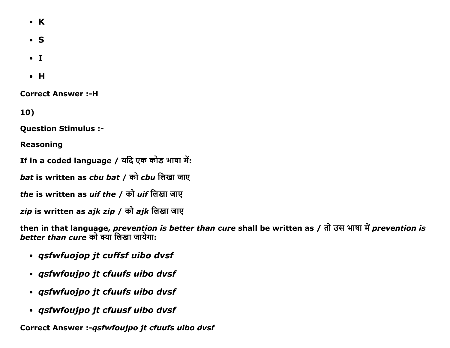- $\bullet$  K
- $\bullet$  S
- $\bullet$  T
- $\bullet$  H

**Correct Answer:-H** 

10)

**Question Stimulus :-**

**Reasoning** 

If in a coded language / यदि एक कोड भाषा में:

bat is written as cbu bat / को cbu लिखा जाए

the is written as *uif the / को uif लिखा जा*ए

zip is written as ajk zip / को ajk लिखा जाए

then in that language, prevention is better than cure shall be written as / तो उस भाषा में prevention is better than cure को क्या लिखा जायेगा:

- · qsfwfuojop jt cuffsf uibo dvsf
- · qsfwfoujpo jt cfuufs uibo dvsf
- · qsfwfuojpo jt cfuufs uibo dvsf
- · qsfwfoujpo jt cfuusf uibo dvsf

Correct Answer :- *qsfwfoujpo jt cfuufs uibo dvsf*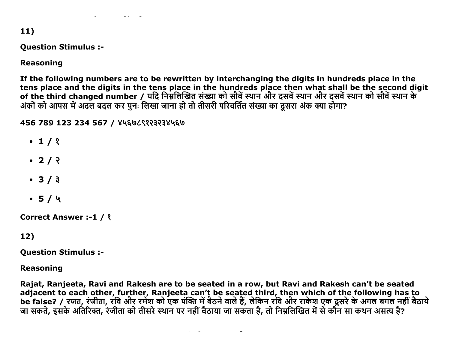$11)$ 

#### **Question Stimulus :-**

## **Reasoning**

If the following numbers are to be rewritten by interchanging the digits in hundreds place in the tens place and the digits in the tens place in the hundreds place then what shall be the second digit of the third changed number / यदि निम्नलिखित संख्या को सौवें स्थान और दसवें स्थान और दसवें स्थान को सौवें स्थान के अंकों को आपस में अदल बदल कर पुनः लिखा जाना हो तो तीसरी परिवर्तित संख्या का दूसरा अंक क्या होगा?

456 789 123 234 567 / ४५६७८९१२३२३४५६७

- $\cdot$  1/ ?
- $\cdot$  2/  $\sqrt{2}$
- $3/3$
- $-5/4$

**Correct Answer :-1 / ?** 

# 12)

**Question Stimulus :-**

**Reasoning** 

Rajat, Ranjeeta, Ravi and Rakesh are to be seated in a row, but Ravi and Rakesh can't be seated adjacent to each other, further, Ranjeeta can't be seated third, then which of the following has to<br>be false? / रजत, रंजीता, रवि और रमेश को एक पंक्ति में बैठने वाले हैं, लेकिन रवि और राकेश एक दूसरे के अगल बगल नहीं बैठाये<br>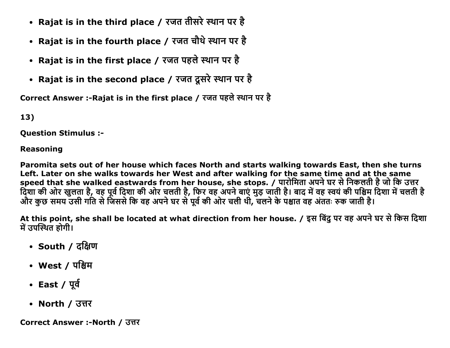- Rajat is in the third place / रजत तीसरे स्थान पर है
- Rajat is in the fourth place / रजत चौथे स्थान पर है
- Rajat is in the first place / रजत पहले स्थान पर है
- Rajat is in the second place / रजत दूसरे स्थान पर है

Correct Answer :-Rajat is in the first place / रजत पहले स्थान पर है

13)

Question Stimulus :

### Reasoning

Paromita sets out of her house which faces North and starts walking towards East, then she turns Left. Later on she walks towards her West and after walking for the same time and at the same speed that she walked eastwards from her house, she stops. / पारोमिता अपने घर से निकलती है जो कि उत्तर दिशा की ओर खुलता है, वह पूर्व दिशा की ओर चलती है, फिर वह अपने बाए मुड़ जाती है। बाद में वह स्वय की पश्चिम दिशा में चलती है और कुछ समय उसी गति से जिससे कि वह अपने घर से पूर्व की ओर चली थी, चलने के पश्चात वह अंततः रुक जाती है।

At this point, she shall be located at what direction from her house. / इस बिंदु पर वह अपने घर से किस दिशा में उपस्थित होगी।

- South / दक्षिण
- West / पश्चिम
- East /  $\Psi$
- North / उत्तर

Correct Answer :-North / उत्तर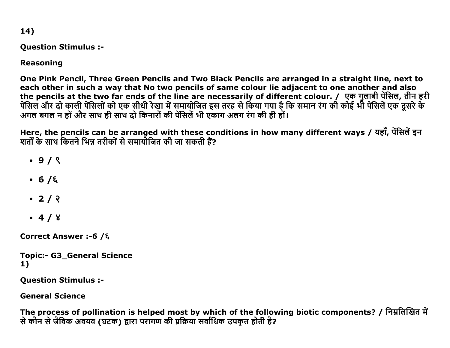14)

### **Question Stimulus :-**

# **Reasoning**

One Pink Pencil, Three Green Pencils and Two Black Pencils are arranged in a straight line, next to each other in such a way that No two pencils of same colour lie adjacent to one another and also the pencils at the two far ends of the line are necessarily of different colour. / एक गुलाबी पेंसिल, तीन हरी पेंसिल और दो काली पेंसिलों को एक सीधी रेखा में समायोजित इस तरह से किया गया है कि समान रंग की कोई भी पेंसिलें एक दूसरे के अगल बगल न हों और साथ ही साथ दो किनारों की पेंसिलें भी एकाग अलग रंग की ही हों।

Here, the pencils can be arranged with these conditions in how many different ways / यहाँ, पेंसिलें इन शर्तों के साथ कितने भिन्न तरीकों से समायोजित की जा सकती हैं?

- $.9/8$
- $-6/6$
- $2/2$
- $-4/8$

Correct Answer :-6 /ξ

```
Topic:- G3_General Science
1)
```
**Question Stimulus :-**

**General Science** 

The process of pollination is helped most by which of the following biotic components? / निम्नलिखित में से कौन से जैविक अवयव (घटक) द्वारा परागण की प्रक्रिया सर्वाधिक उपकृत होती है?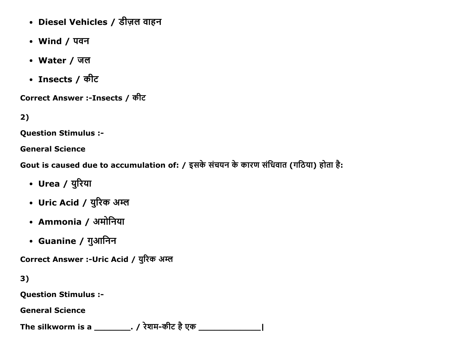- Diesel Vehicles / डीज़ल वाहन
- Wind / पवन
- Water / जल
- Insects / कीट

Correct Answer :-Insects / कीट

 $2)$ 

**Question Stimulus :-**

**General Science** 

Gout is caused due to accumulation of: / इसके संचयन के कारण संधिवात (गठिया) होता है:

- Urea / युरिया
- Uric Acid / युरिक अम्ल
- Ammonia / अमोनिया
- Guanine / गुआनिन

Correct Answer :- Uric Acid / युरिक अम्ल

 $3)$ 

**Question Stimulus :-**

**General Science** 

The silkworm is a \_\_\_\_\_\_\_\_\_\_. / रेशम-कीट है एक \_\_\_\_\_\_\_\_\_\_\_\_\_\_\_\_\_\_\_\_\_\_\_\_\_\_\_\_\_\_\_\_\_\_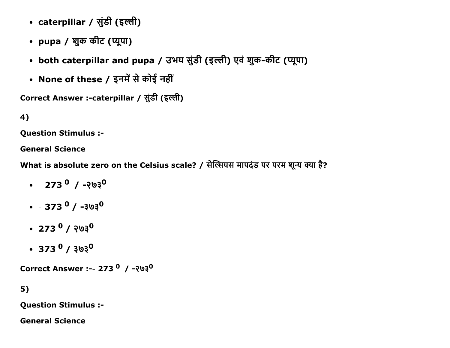- caterpillar / सुंडी (इल्ली)
- pupa / शुक कीट (प्यूपा)
- both caterpillar and pupa / उभय सुंडी (इल्ली) एवं शुक-कीट (प्यूपा)
- None of these / इनमें से कोई नहीं

```
Correct Answer :-caterpillar / सुंडी (इल्ली)
```

```
4)
```
Question Stimulus :

General Science

What is absolute zero on the Celsius scale? / सेल्सियस मापदंड पर परम शून्य क्या है?

- $\cdot$   $-273^{0}$  /  $-203^{0}$
- $\cdot$   $-373^{0}$  /  $-303^{0}$
- $\cdot$  273  $^{\circ}$  / २७३ $^{\circ}$
- $\cdot$  373  $^{\circ}$  /  $303^{\circ}$

Correct Answer :-- 273  $^{\circ}$  / -२७३ $^{\circ}$ 

```
5)
```
Question Stimulus :

General Science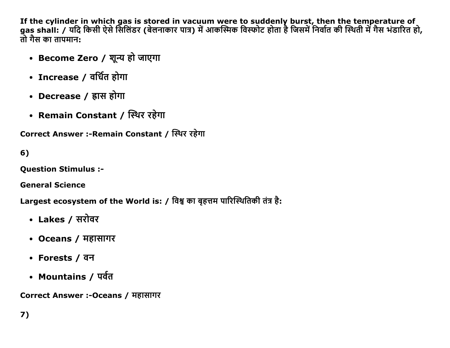If the cylinder in which gas is stored in vacuum were to suddenly burst, then the temperature of<br>gas shall: / यदि किसी ऐसे सिलिंडर (बेलनाकार पात्र) में आकस्मिक विस्फोट होता है जिसमें निर्वात की स्थिती में गैस भंडारित हो, तो गैस का तापमान:

- Become Zero / शून्य हो जाएगा
- Increase / वर्धित होगा
- Decrease / ह्रास होगा
- Remain Constant / स्थिर रहेगा

Correct Answer :-Remain Constant / स्थिर रहेगा

 $6)$ 

**Ouestion Stimulus :-**

**General Science** 

Largest ecosystem of the World is: / विश्व का बृहत्तम पारिस्थितिकी तंत्र है:

- Lakes / सरोवर
- Oceans / महासागर
- Forests / वन
- Mountains / पर्वत

Correct Answer :-Oceans / महासागर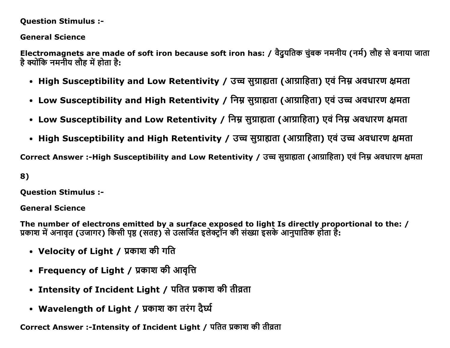#### Question Stimulus :

### General Science

Electromagnets are made of soft iron because soft iron has: / वैदुयतिक चुंबक नमनीय (नर्म) लौह से बनाया जाता है क्योंकि नमनीय लौह में होता है:

- High Susceptibility and Low Retentivity / उच्च सुग्राह्यता (आग्राहिता) एवं निम्न अवधारण क्षमता
- Low Susceptibility and High Retentivity / निम्न सुग्राह्यता (आग्राहिता) एवं उच्च अवधारण क्षमता
- Low Susceptibility and Low Retentivity / निम्न सुग्राह्यता (आग्राहिता) एवं निम्न अवधारण क्षमता
- High Susceptibility and High Retentivity / उच्च सुग्राह्यता (आग्राहिता) एवं उच्च अवधारण क्षमता

Correct Answer :-High Susceptibility and Low Retentivity / उच्च सुग्राह्यता (आग्राहिता) एवं निम्न अवधारण क्षमता

### 8)

Question Stimulus :

#### General Science

The number of electrons emitted by a surface exposed to light Is directly proportional to the: / प्रकाश में अनावृत (उजागर) किसी पृष्ठ (सतह) से उत्सर्जित इलेक्ट्रान की संख्या इसके आनुपातिक होता है:

- Velocity of Light / प्रकाश की गति
- Frequency of Light / प्रकाश की आवृत्ति
- Intensity of Incident Light / पतित प्रकाश की तीव्रता
- Wavelength of Light / प्रकाश का तरंग दैर्घ्य

Correct Answer :-Intensity of Incident Light / पतित प्रकाश की तीव्रता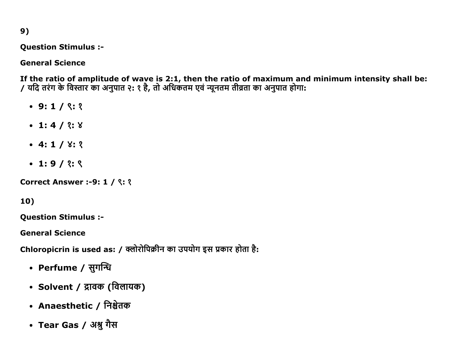$9)$ 

**Question Stimulus :-**

**General Science** 

If the ratio of amplitude of wave is 2:1, then the ratio of maximum and minimum intensity shall be: / यदि तरंग के विस्तार का अनुपात २: १ है, तो अधिकतम एवं न्यूनतम तीव्रता का अनुपात होगा:

- $\bullet$  9:1/ ९:१
- $\bullet$  1:4/ ?: 8
- $-4:1/8:3$
- $\cdot$  1:9/ ?: ९

**Correct Answer :-9: 1 / ९: १** 

 $10)$ 

**Question Stimulus :-**

**General Science** 

Chloropicrin is used as: / क्लोरोपिक्रीन का उपयोग इस प्रकार होता है:

- Perfume / सुगन्धि
- Solvent / द्रावक (विलायक)
- Anaesthetic / निश्चेतक
- Tear Gas / अश्नु गैस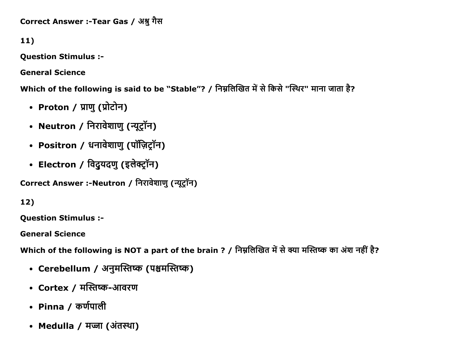Correct Answer :-Tear Gas / अश्नु गैस

11)

Question Stimulus :

General Science

Which of the following is said to be "Stable"? / निम्नलिखित में से किसे "स्थिर" माना जाता है?

- Proton / प्राणु (प्रोटोन)
- Neutron / निरावेशाणु (न्यूट्रॉन)
- Positron / धनावेशाणु (पॉज़िट्रॉन)
- Electron / विदुयदणु (इलेक्ट्रॉन)

Correct Answer :-Neutron / निरावेशाणु (न्यूट्रॉन)

12)

Question Stimulus :

General Science

Which of the following is NOT a part of the brain ? / निम्नलिखित में से क्या मस्तिष्क का अंश नहीं है?

- Cerebellum / अनुमस्तिष्क (पश्चमस्तिष्क)
- Cortex / मस्तिष्क-आवरण
- Pinna / कर्णपाली
- Medulla / मज्जा (अंतस्था)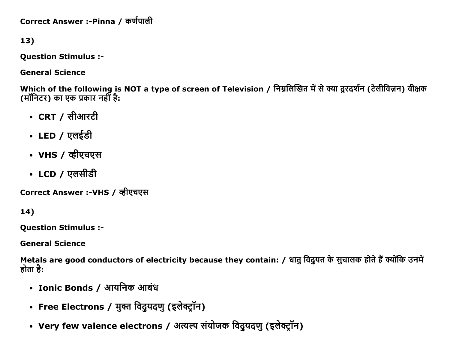Correct Answer :-Pinna / कर्णपाली

13)

Question Stimulus :

General Science

Which of the following is NOT a type of screen of Television / निम्नलिखित में से क्या दूरदर्शन (टेलीविज़न) वीक्षक (मॉनिटर) का एक प्रकार नहीं है:

- $\cdot$  CRT / सीआरटी
- $\cdot$  LED / एलईडी
- VHS / व्हीएचएस
- LCD / एलसीडी

Correct Answer :-VHS / व्हीएचएस

14)

Question Stimulus :

General Science

Metals are good conductors of electricity because they contain: / धातु विदुयत के सुचालक होते हैं क्योंकि उनमें होता है:

- Ionic Bonds / आयनिक आबंध
- Free Electrons / मुक्त विदुयदणु (इलेक्ट्रॉन)
- Very few valence electrons / अत्यल्प संयोजक विदुयदणु (इलेक्ट्रॉन)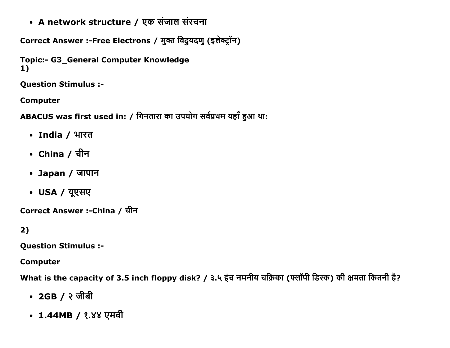• A network structure / एक संजाल संरचना

Correct Answer :-Free Electrons / मुक्त विदुयदणु (इलेक्ट्रॉन)

```
Topic:- G3_General Computer Knowledge
1)
```
**Question Stimulus :-**

**Computer** 

ABACUS was first used in: / गिनतारा का उपयोग सर्वप्रथम यहाँ हुआ था:

- India / भारत
- China / चीन
- Japan / जापान
- USA / यूएसए

Correct Answer :-China / चीन

 $2)$ 

**Question Stimulus :-**

**Computer** 

What is the capacity of 3.5 inch floppy disk? / ३.५ इंच नमनीय चक्रिका (फ्लॉपी डिस्क) की क्षमता कितनी है?

- 2GB / २ जीबी
- 1.44MB / १.४४ एमबी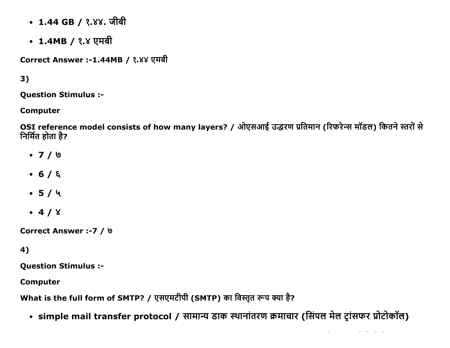- 1.44 GB / १.४४. जीबी
- 1.4MB / १.४ एमबी

Correct Answer :-1.44MB / १.४४ एमबी

3)

Question Stimulus :

Computer

OSI reference model consists of how many layers? / ओएसआई उद्धरण प्रतिमान (रिफरेन्स मॉडल) कितने स्तरों से निर्मित होता है?

- 7 / ͞
- $-6/6$
- $-5/4$
- $-4/8$

Correct Answer :-7 /  $\theta$ 

# 4)

Question Stimulus :

Computer

What is the full form of SMTP? / एसएमटीपी (SMTP) का विस्तृत रूप क्या है?

• simple mail transfer protocol / सामान्य डाक स्थानांतरण क्रमाचार (सिंपल मेल ट्रांसफर प्रोटोकॉल)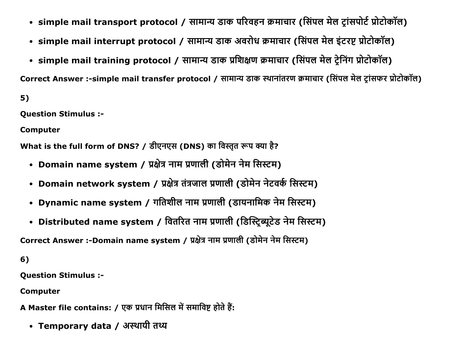- simple mail transport protocol / सामान्य डाक परिवहन क्रमाचार (सिंपल मेल ट्रांसपोर्ट प्रोटोकॉल)
- simple mail interrupt protocol / सामान्य डाक अवरोध क्रमाचार (सिंपल मेल इंटरप्ट प्रोटोकॉल)
- simple mail training protocol / सामान्य डाक प्रशिक्षण क्रमाचार (सिंपल मेल ट्रेनिंग प्रोटोकॉल)

Correct Answer :-simple mail transfer protocol / सामान्य डाक स्थानांतरण क्रमाचार (सिंपल मेल टांसफर प्रोटोकॉल)

 $5)$ 

**Question Stimulus :-**

**Computer** 

What is the full form of DNS? / डीएनएस (DNS) का विस्तृत रूप क्या है?

- Domain name system / प्रक्षेत्र नाम प्रणाली (डोमेन नेम सिस्टम)
- Domain network system / प्रक्षेत्र तंत्रजाल प्रणाली (डोमेन नेटवर्क सिस्टम)
- Dynamic name system / गतिशील नाम प्रणाली (डायनामिक नेम सिस्टम)
- Distributed name system / वितरित नाम प्रणाली (डिस्ट्रिब्यूटेड नेम सिस्टम)

Correct Answer :-Domain name system / प्रक्षेत्र नाम प्रणाली (डोमेन नेम सिस्टम)

 $6)$ 

**Question Stimulus :-**

**Computer** 

A Master file contains: / एक प्रधान मिसिल में समाविष्ट होते हैं:

• Temporary data / अस्थायी तथ्य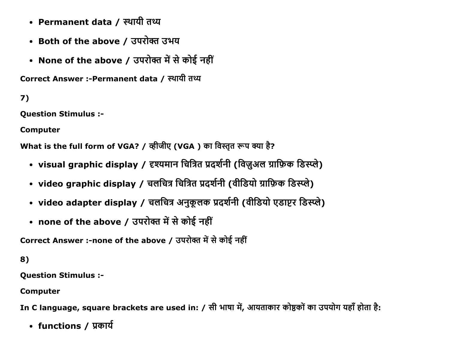- Permanent data / स्थायी तथ्य
- Both of the above / उपरोक्त उभय
- None of the above / उपरोक्त में से कोई नहीं

Correct Answer :-Permanent data / स्थायी तथ्य

7)

Question Stimulus :

Computer

What is the full form of VGA? / व्हीजीए (VGA) का विस्तृत रूप क्या है?

- visual graphic display / दृश्यमान चित्रित प्रदर्शनी (विज़ुअल ग्राफ़िक डिस्प्ले)
- video graphic display / चलचित्र चित्रित प्रदर्शनी (वीडियो ग्राफ़िक डिस्प्ले)
- video adapter display / चलचित्र अनुकूलक प्रदर्शनी (वीडियो एडाप्टर डिस्प्ले)
- none of the above / उपरोक्त में से कोई नहीं

Correct Answer :-none of the above / उपरोक्त में से कोई नहीं

8)

Question Stimulus :

Computer

In C language, square brackets are used in: / सी भाषा में, आयताकार कोष्ठकों का उपयोग यहाँ होता है:

• functions / प्रकार्य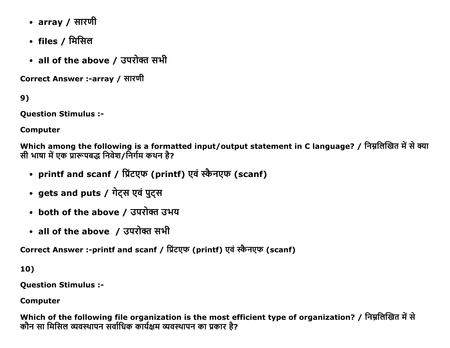- array / सारणी
- files / मिसिल
- all of the above / उपरोक्त सभी

Correct Answer :-array / सारणी

 $9)$ 

**Ouestion Stimulus :-**

**Computer** 

Which among the following is a formatted input/output statement in C language? / निम्नलिखित में से क्या सी भाषा में एक प्रारूपबद्ध निवेश/निर्गम कथन है?

- printf and scanf / प्रिंटएफ (printf) एवं स्कैनएफ (scanf)
- gets and puts / गेट्स एवं पुट्स
- both of the above / उपरोक्त उभय
- all of the above / उपरोक्त सभी

Correct Answer :-printf and scanf / प्रिंटएफ (printf) एवं स्कैनएफ (scanf)

10)

**Question Stimulus :-**

**Computer** 

Which of the following file organization is the most efficient type of organization? / निम्नलिखित में से कौन सा मिसिल व्यवस्थापन सर्वाधिक कार्यक्षम व्यवस्थापन का प्रकार है?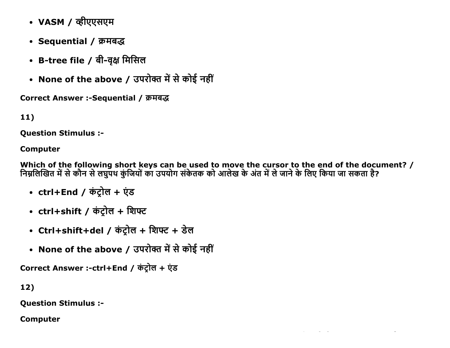- VASM / व्हीएएसएम
- Sequential / क्रमबद्ध
- B-tree file / बी-वृक्ष मिसिल
- None of the above / उपरोक्त में से कोई नहीं

Correct Answer :-Sequential / क्रमबद्ध

11)

Question Stimulus :

## Computer

Which of the following short keys can be used to move the cursor to the end of the document? / निम्नलिखित में से कौन से लघुपथ कुंजियों का उपयोग संकेतक को आलेख के अंत में ले जाने के लिए किया जा सकता है?

 $\mathcal{L}(\mathcal{A})$  and  $\mathcal{L}(\mathcal{A})$  are the set of the set of the set of the set of  $\mathcal{L}(\mathcal{A})$ 

- ctrl+End / कंट्रोल + एंड
- ctrl+shift / कंट्रोल + शिफ्ट
- Ctrl+shift+del / कंट्रोल + शिफ्ट + डेल
- None of the above / उपरोक्त में से कोई नहीं

Correct Answer :-ctrl+End / कंट्रोल + एंड

12)

Question Stimulus :

Computer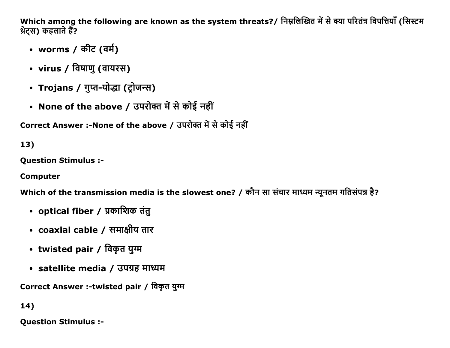Which among the following are known as the system threats?/ निम्नलिखित में से क्या परितंत्र विपत्तियाँ (सिस्टम थ्रेट्स) कहलाते हैं?

- worms / कीट (वर्म)
- virus / विषाणु (वायरस)
- Trojans / गुप्त-योद्धा (ट्रोजन्स)
- None of the above / उपरोक्त में से कोई नहीं

Correct Answer :-None of the above / उपरोक्त में से कोई नहीं

13)

Question Stimulus :

Computer

Which of the transmission media is the slowest one? / कौन सा संचार माध्यम न्यूनतम गतिसंपन्न है?

- optical fiber / प्रकाशिक तंतु
- coaxial cable / समाक्षीय तार
- twisted pair / विकृत युग्म
- satellite media / उपग्रह माध्यम

Correct Answer :-twisted pair / विकृत युग्म

14)

Question Stimulus :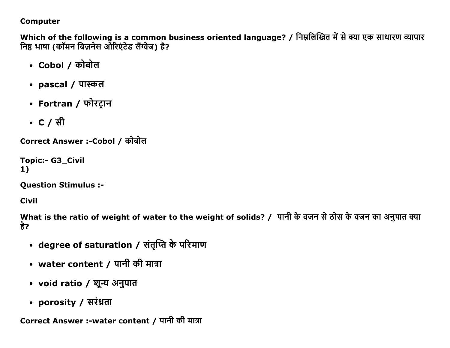### **Computer**

Which of the following is a common business oriented language? / निम्नलिखित में से क्या एक साधारण व्यापार निष्ठ भाषा (कॉमन बिज़नेस ओरिएंटेड लैंग्वेज) है?

- Cobol / कोबोल
- pascal / पास्कल
- Fortran / फोरट्रान
- C / सी

Correct Answer :-Cobol / कोबोल

**Topic:- G3\_Civil**  $1)$ 

**Question Stimulus :-**

**Civil** 

What is the ratio of weight of water to the weight of solids? / पानी के वजन से ठोस के वजन का अनुपात क्या है?

- degree of saturation / संतृप्ति के परिमाण
- water content / पानी की मात्रा
- void ratio / शून्य अनुपात
- porosity / सरंध्रता

Correct Answer :-water content / पानी की मात्रा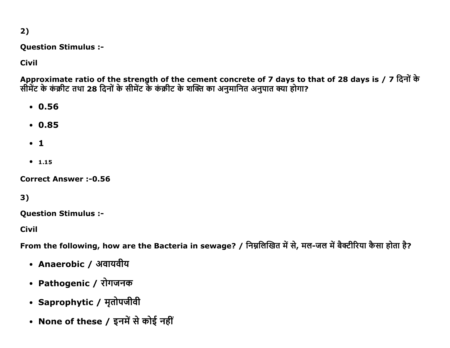$2)$ 

**Question Stimulus :-**

**Civil** 

Approximate ratio of the strength of the cement concrete of 7 days to that of 28 days is / 7 दिनों के सीमेंट के कंक्रीट तथा 28 दिनों के सीमेंट के कंक्रीट के शक्ति का अनुमानित अनुपात क्या होगा?

- $.0.56$
- $0.85$
- $\cdot$  1
- $1.15$

**Correct Answer: -0.56** 

# $3)$

**Ouestion Stimulus :-**

**Civil** 

From the following, how are the Bacteria in sewage? / निम्नलिखित में से, मल-जल में बैक्टीरिया कैसा होता है?

- Anaerobic / अवायवीय
- Pathogenic / रोगजनक
- Saprophytic / मृतोपजीवी
- None of these / इनमें से कोई नहीं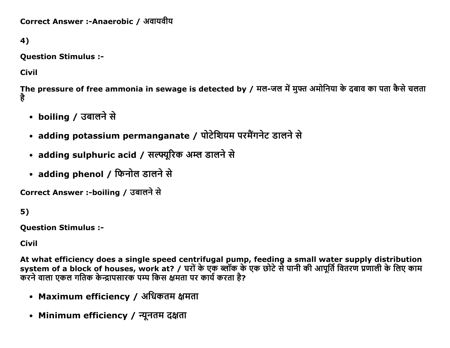```
Correct Answer :-Anaerobic / अवायवीय
```
4)

**Question Stimulus :-**

**Civil** 

The pressure of free ammonia in sewage is detected by / मल-जल में मुफ्त अमोनिया के दबाव का पता कैसे चलता है

- boiling / उबालने से
- adding potassium permanganate / पोटेशियम परमैंगनेट डालने से
- adding sulphuric acid / सल्फ्यूरिक अम्ल डालने से
- adding phenol / फिनोल डालने से

Correct Answer :-boiling / उबालने से

 $5)$ 

**Ouestion Stimulus :-**

**Civil** 

At what efficiency does a single speed centrifugal pump, feeding a small water supply distribution<br>system of a block of houses, work at? / घरों के एक ब्लॉक के एक छोटे से पानी की आपूर्ति वितरण प्रणाली के लिए काम करने वाला एकल गतिक केन्द्रापसारक पम्प किस क्षमता पर कार्य करता है?

- Maximum efficiency / अधिकतम क्षमता
- Minimum efficiency / न्यूनतम दक्षता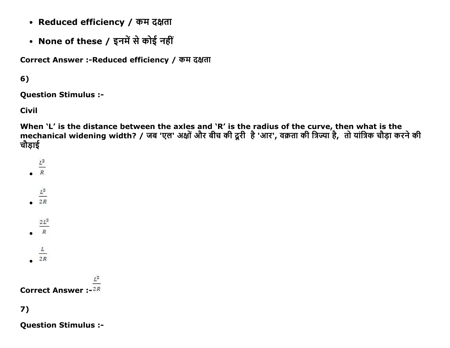- Reduced efficiency / कम दक्षता
- None of these / इनमें से कोई नहीं

Correct Answer :- Reduced efficiency / कम दक्षता

# $6)$

**Question Stimulus :-**

**Civil** 

When `L' is the distance between the axles and `R' is the radius of the curve, then what is the mechanical widening width? / जब 'एल' अक्षों और बीच की दूरी है 'आर', वक्रता की त्रिज्या है, तो यांत्रिक चौड़ा करने की चौडाई

- $\frac{L^2}{R}$
- 
- $\frac{L^2}{2R}$
- 
- $\frac{2L^2}{R}$
- 
- $\overline{L}$
- $2R$

**Correct Answer:-2R** 

7)

**Question Stimulus :-**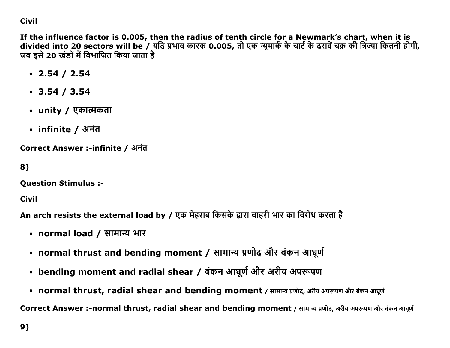## **Civil**

If the influence factor is 0.005, then the radius of tenth circle for a Newmark's chart, when it is divided into 20 sectors will be / यदि प्रभाव कारक 0.005, तो एक न्यूमार्क के चार्ट के दसवें चक्र की त्रिज्या कितनी होगी, जब इसे 20 खंडों में विभाजित किया जाता है

- $\cdot$  2.54 / 2.54
- $\cdot$  3.54 / 3.54
- unity / एकात्मकता
- infinite / अनंत

Correct Answer :-infinite / अनंत

```
8)
```
**Question Stimulus :-**

Civil

An arch resists the external load by / एक मेहराब किसके द्वारा बाहरी भार का विरोध करता है

- normal load / सामान्य भार
- normal thrust and bending moment / सामान्य प्रणोद और बंकन आघूर्ण
- bending moment and radial shear / बंकन आघूर्ण और अरीय अपरूपण
- normal thrust, radial shear and bending moment / सामान्य प्रणोद, अरीय अपरूपण और बंकन आघूर्ण

Correct Answer :-normal thrust, radial shear and bending moment / सामान्य प्रणोद, अरीय अपरूपण और बंकन आघूर्ण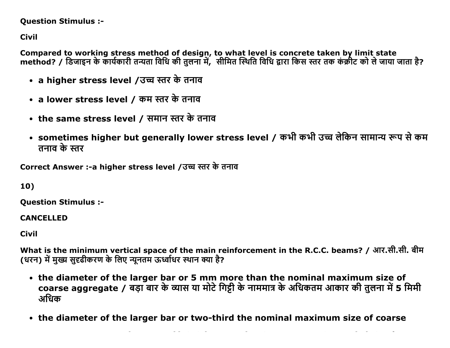### **Question Stimulus :-**

**Civil** 

Compared to working stress method of design, to what level is concrete taken by limit state method? / डिजाइन के कार्यकारी तन्यता विधि की तुलना में, सीमित स्थिति विधि द्वारा किस स्तर तक कंक्रीट को ले जाया जाता है?

- a higher stress level /उच्च स्तर के तनाव
- a lower stress level / कम स्तर के तनाव
- the same stress level / समान स्तर के तनाव
- sometimes higher but generally lower stress level / कभी कभी उच्च लेकिन सामान्य रूप से कम तनाव के स्तर

Correct Answer :-a higher stress level /उच्च स्तर के तनाव

10)

**Question Stimulus :-**

**CANCELLED** 

**Civil** 

What is the minimum vertical space of the main reinforcement in the R.C.C. beams? / आर.सी.सी. बीम (धरन) में मुख्य सुदृढीकरण के लिए न्यूनतम ऊर्ध्वाधर स्थान क्या है?

- the diameter of the larger bar or 5 mm more than the nominal maximum size of coarse aggregate / बड़ा बार के व्यास या मोटे गिट्टी के नाममात्र के अधिकतम आकार की तुलना में 5 मिमी अधिक
- the diameter of the larger bar or two-third the nominal maximum size of coarse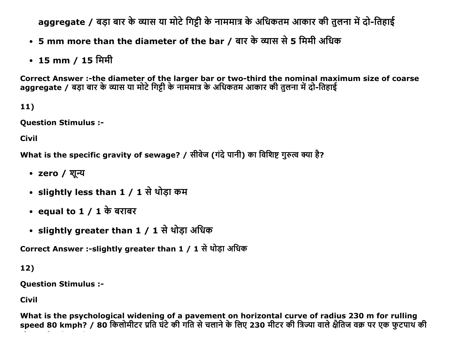aggregate / बड़ा बार के व्यास या मोटे गिट्टी के नाममात्र के अधिकतम आकार की तुलना में दो-तिहाई

- 5 mm more than the diameter of the bar / बार के व्यास से 5 मिमी अधिक
- 15 mm / 15 मिमी

Correct Answer :-the diameter of the larger bar or two-third the nominal maximum size of coarse aggregate / बड़ा बार के व्यास या मोटे गिट्टी के नाममात्र के अधिकतम आकार की तुलना में दो-तिहाई

 $11)$ 

**Question Stimulus :-**

**Civil** 

What is the specific gravity of sewage? / सीवेज (गंदे पानी) का विशिष्ट गुरुत्व क्या है?

- zero / शून्य
- slightly less than 1 / 1 से थोड़ा कम
- equal to  $1/1$  के बराबर
- slightly greater than 1 / 1 से थोड़ा अधिक

Correct Answer :-slightly greater than 1 / 1 से थोड़ा अधिक

 $12)$ 

**Question Stimulus :-**

**Civil** 

What is the psychological widening of a pavement on horizontal curve of radius 230 m for rulling<br>speed 80 kmph? / 80 किलोमीटर प्रति घंटे की गति से चलाने के लिए 230 मीटर की त्रिज्या वाले क्षैतिज वक्र पर एक फुटपाथ की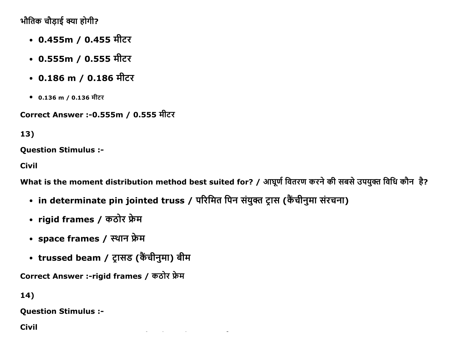भौतिक चौड़ाई क्या होगी?

- 0.455m / 0.455 मीटर
- 0.555m / 0.555 मीटर
- 0.186 m / 0.186 मीटर
- 0.136 m / 0.136 मीटर

Correct Answer :-0.555m / 0.555 मीटर

13)

**Question Stimulus :-**

**Civil** 

What is the moment distribution method best suited for? / आघूर्ण वितरण करने की सबसे उपयुक्त विधि कौन है?

- in determinate pin jointed truss / परिमित पिन संयुक्त ट्रास (कैंचीनुमा संरचना)
- rigid frames / कठोर फ्रेम
- space frames / स्थान फ्रेम
- trussed beam / ट्रासड (कैंचीनुमा) बीम

Correct Answer :-rigid frames / कठोर फ्रेम

 $14)$ 

**Question Stimulus :-**

**Civil**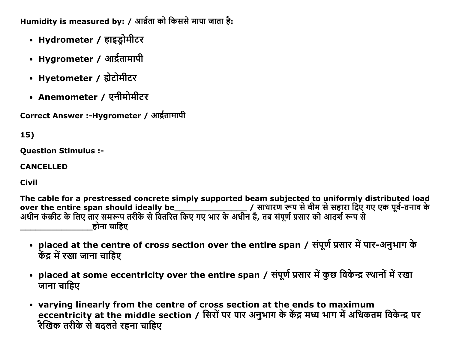Humidity is measured by: / आर्द्रता को किससे मापा जाता है:

- Hydrometer / हाइड्रोमीटर
- Hygrometer / आर्द्रतामापी
- Hyetometer / होटोमीटर
- Anemometer / एनीमोमीटर

Correct Answer :- Hygrometer / आर्द्रतामापी

# 15)

**Question Stimulus :-**

### **CANCELLED**

**Civil** 

The cable for a prestressed concrete simply supported beam subjected to uniformly distributed load होना चाहिए

- placed at the centre of cross section over the entire span / संपूर्ण प्रसार में पार-अनुभाग के केंद्र में रखा जाना चाहिए
- placed at some eccentricity over the entire span / संपूर्ण प्रसार में कुछ विकेन्द्र स्थानों में रखा जाना चाहिए
- varying linearly from the centre of cross section at the ends to maximum eccentricity at the middle section / सिरों पर पार अनुभाग के केंद्र मध्य भाग में अधिकतम विकेन्द्र पर रैखिक तरीके से बदलते रहना चाहिए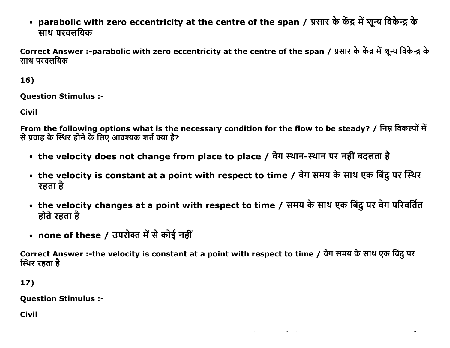• parabolic with zero eccentricity at the centre of the span / प्रसार के केंद्र में शून्य विकेन्द्र के साथ परवलयिक

Correct Answer :-parabolic with zero eccentricity at the centre of the span / प्रसार के केंद्र में शुन्य विकेन्द्र के साथ परवलयिक

16)

**Question Stimulus :-**

**Civil** 

From the following options what is the necessary condition for the flow to be steady? / निम्न विकल्पों में से प्रवाह के स्थिर होने के लिए आवश्यक शर्त क्या है?

- the velocity does not change from place to place / वेग स्थान-स्थान पर नहीं बदलता है
- the velocity is constant at a point with respect to time / वेग समय के साथ एक बिंदू पर स्थिर रहता है
- the velocity changes at a point with respect to time / समय के साथ एक बिंदु पर वेग परिवर्तित होते रहता है
- none of these / उपरोक्त में से कोई नहीं

Correct Answer :-the velocity is constant at a point with respect to time / वेग समय के साथ एक बिंद पर स्थिर रहता है

17)

**Question Stimulus :-**

**Civil**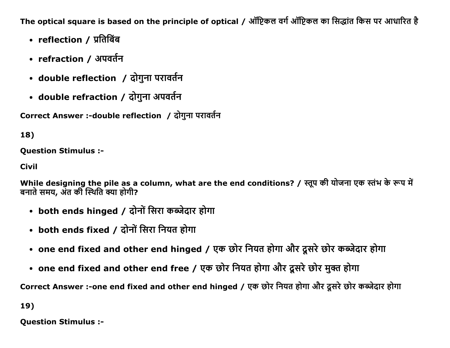The optical square is based on the principle of optical / ऑप्टिकल वर्ग ऑप्टिकल का सिद्धांत किस पर आधारित है

- reflection / प्रतिबिंब
- refraction / अपवर्तन
- double reflection / दोगुना परावर्तन
- double refraction / दोगुना अपवर्तन

Correct Answer :-double reflection / दोगुना परावर्तन

# 18)

**Question Stimulus :-**

**Civil** 

While designing the pile as a column, what are the end conditions? / स्तुप की योजना एक स्तंभ के रूप में बनाते समय, अंत की स्थिति क्या होगी?

- both ends hinged / दोनों सिरा कब्जेदार होगा
- both ends fixed / दोनों सिरा नियत होगा
- one end fixed and other end hinged / एक छोर नियत होगा और दूसरे छोर कब्जेदार होगा
- one end fixed and other end free / एक छोर नियत होगा और दूसरे छोर मुक्त होगा

Correct Answer :-one end fixed and other end hinged / एक छोर नियत होगा और दूसरे छोर कब्जेदार होगा

19)

**Ouestion Stimulus :-**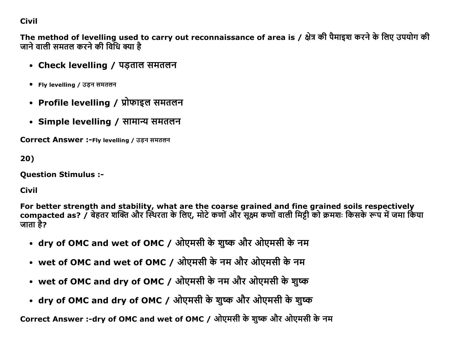## **Civil**

The method of levelling used to carry out reconnaissance of area is / क्षेत्र की पैमाइश करने के लिए उपयोग की जाने वाली समतल करने की विधि क्या है

- Check levelling / पड़ताल समतलन
- Fly levelling / उड़न समतलन
- Profile levelling / प्रोफाइल समतलन
- Simple levelling / सामान्य समतलन

**Correct Answer :- Fly levelling / उड़न समतलन** 

 $20)$ 

**Question Stimulus :-**

**Civil** 

For better strength and stability, what are the coarse grained and fine grained soils respectively compacted as? / बेहतर शक्ति और स्थिरता के लिए, मोटे कणों और सूक्ष्म कणों वाली मिट्टी को क्रमशः किसके रूप में जमा किया जाता है?

- dry of OMC and wet of OMC / ओएमसी के शुष्क और ओएमसी के नम
- wet of OMC and wet of OMC / ओएमसी के नम और ओएमसी के नम
- wet of OMC and dry of OMC / ओएमसी के नम और ओएमसी के शुष्क
- dry of OMC and dry of OMC / ओएमसी के शुष्क और ओएमसी के शुष्क

Correct Answer :-dry of OMC and wet of OMC / ओएमसी के शुष्क और ओएमसी के नम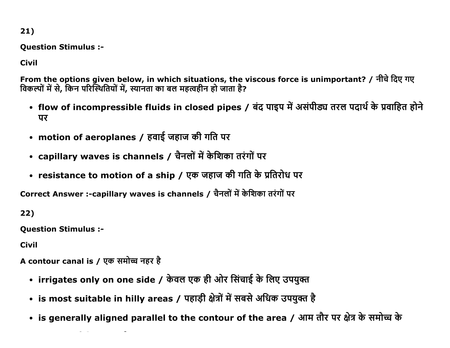21)

Question Stimulus :

Civil

From the options given below, in which situations, the viscous force is unimportant? / नीचे दिए गए विकल्पों में से, किन परिस्थितियों में, स्यानता का बल महत्वहीन हो जाता है?

- flow of incompressible fluids in closed pipes / बंद पाइप में असंपीड्य तरल पदार्थ के प्रवाहित होने पर
- motion of aeroplanes / हवाई जहाज की गति पर
- capillary waves is channels / चैनलों में केशिका तरंगों पर
- resistance to motion of a ship / एक जहाज की गति के प्रतिरोध पर

Correct Answer :-capillary waves is channels / चैनलों में केशिका तरंगों पर

22)

Question Stimulus :

Civil

A contour canal is / एक समोच्च नहर है

- irrigates only on one side / केवल एक ही ओर सिंचाई के लिए उपयुक्त
- is most suitable in hilly areas / पहाड़ी क्षेत्रों में सबसे अधिक उपयुक्त है
- is generally aligned parallel to the contour of the area / आम तौर पर क्षेत्र के समोच्च के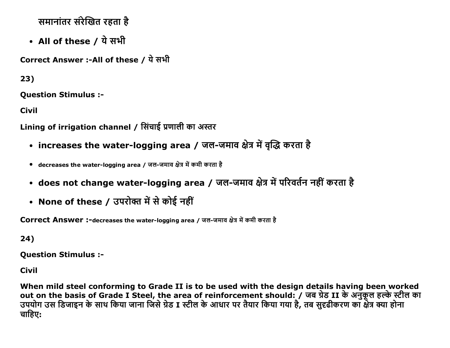समानांतर संरेखित रहता है

• All of these / ये सभी

Correct Answer :-All of these / ये सभी

 $23)$ 

**Ouestion Stimulus :-**

**Civil** 

Lining of irrigation channel / सिंचाई प्रणाली का अस्तर

- increases the water-logging area / जल-जमाव क्षेत्र में वृद्धि करता है
- decreases the water-logging area / जल-जमाव क्षेत्र में कमी करता है
- does not change water-logging area / जल-जमाव क्षेत्र में परिवर्तन नहीं करता है
- None of these / उपरोक्त में से कोई नहीं

Correct Answer :-decreases the water-logging area / जल-जमाव क्षेत्र में कमी करता है

24)

**Ouestion Stimulus :-**

**Civil** 

When mild steel conforming to Grade II is to be used with the design details having been worked out on the basis of Grade I Steel, the area of reinforcement should: / जब ग्रेड II के अनुकूल हल्के स्टील का<br>उपयोग उस डिजाइन के साथ किया जाना जिसे ग्रेड I स्टील के आधार पर तैयार किया गया है, तब सुदृढीकरण का क्षेत्र क्या हो चाहिए: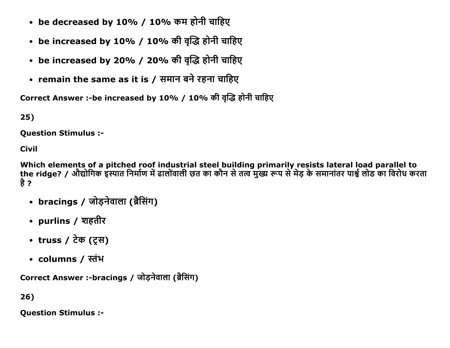- be decreased by 10% / 10% कम होनी चाहिए
- be increased by 10% / 10% की वृद्धि होनी चाहिए
- be increased by 20% / 20% की वृद्धि होनी चाहिए
- remain the same as it is / समान बने रहना चाहिए

Correct Answer :-be increased by 10% / 10% की वृद्धि होनी चाहिए

 $25)$ 

**Ouestion Stimulus :-**

**Civil** 

Which elements of a pitched roof industrial steel building primarily resists lateral load parallel to the ridge? / औद्योगिक इस्पात निर्माण में ढालोंवाली छत का कौन से तत्व मुख्य रूप से मेड के समानांतर पार्श्व लोड का विरोध करता है ?

- bracings / जोड़नेवाला (ब्रैसिंग)
- purlins / शहतीर
- truss / टेक (ट्स)
- columns / स्तंभ

Correct Answer :-bracings / जोडनेवाला (ब्रैसिंग)

26)

**Question Stimulus :-**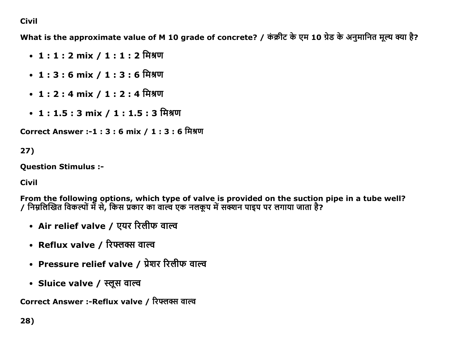## Civil

What is the approximate value of M 10 grade of concrete? / कंक्रीट के एम 10 ग्रेड के अनुमानित मूल्य क्या है?

- 1 : 1 : 2 mix / 1 : 1 : 2 मिश्रण
- $1:3:6$  mix /  $1:3:6$  मिश्रण
- 1 : 2 : 4 mix / 1 : 2 : 4 मिश्रण
- 1: 1.5 : 3 mix / 1 : 1.5 : 3 मिश्रण

Correct Answer :-1 : 3 : 6 mix / 1 : 3 : 6 मिश्रण

# 27)

Question Stimulus :

Civil

From the following options, which type of valve is provided on the suction pipe in a tube well? / निम्नलिखित विकल्पों में से, किस प्रकार का वाल्व एक नलकूप में सक्शन पाइप पर लगाया जाता है?

- Air relief valve / एयर रिलीफ वाल्व
- Reflux valve / रिफ्लक्स वाल्व
- Pressure relief valve / प्रेशर रिलीफ वाल्व
- Sluice valve / स्लूस वाल्व

Correct Answer :-Reflux valve / रिफ्लर्क्स वाल्व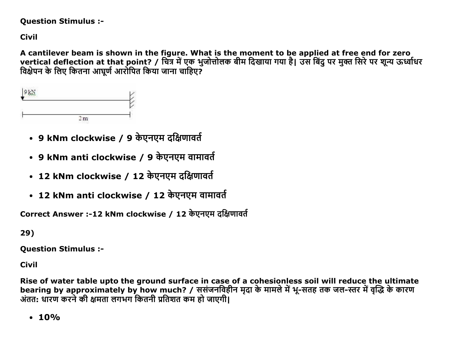#### **Question Stimulus :-**

**Civil** 

A cantilever beam is shown in the figure. What is the moment to be applied at free end for zero vertical deflection at that point? / चित्र में एक भुजोत्तोलक बीम दिखाया गया है। उस बिंदु पर मुक्त सिरे पर शून्य ऊर्ध्वाधर विक्षेपन के लिए कितना आघूर्ण आरोपित किया जाना चाहिए?



- 9 kNm clockwise / 9 केएनएम दक्षिणावर्त
- 9 kNm anti clockwise / 9 केएनएम वामावर्त
- 12 kNm clockwise / 12 केएनएम दक्षिणावर्त
- 12 kNm anti clockwise / 12 केएनएम वामावर्त

Correct Answer :-12 kNm clockwise / 12 केएनएम दक्षिणावर्त

29)

**Question Stimulus :-**

**Civil** 

Rise of water table upto the ground surface in case of a cohesionless soil will reduce the ultimate bearing by approximately by how much? / ससंजनविहीन मृदा के मामले में भू-सतह तक जल-स्तर में वृद्धि के कारण अंतत: धारण करने की क्षमता लगभग कितनी प्रतिशत कम हो जाएगी।

 $\cdot$  10%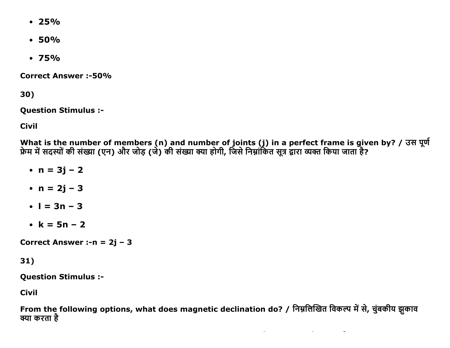- $\cdot$  25%
- $\cdot$  50%
- $\cdot$  75%

**Correct Answer:-50%** 

30)

**Question Stimulus :-**

**Civil** 

What is the number of members (n) and number of joints (j) in a perfect frame is given by? / उस पूर्ण<br>फ्रेम में सदस्यों की संख्या (एन) और जोड़ (जे) की संख्या क्या होगी, जिसे निम्नांकित सूत्र द्वारा व्यक्त किया जाता है?

- $n = 3j 2$
- $n = 2j 3$
- $\bullet$  | = 3n 3
- $k = 5n 2$

Correct Answer :-  $n = 2j - 3$ 

 $31)$ 

**Question Stimulus :-**

**Civil** 

From the following options, what does magnetic declination do? / निम्नलिखित विकल्प में से, चुंबकीय झुकाव क्या करता है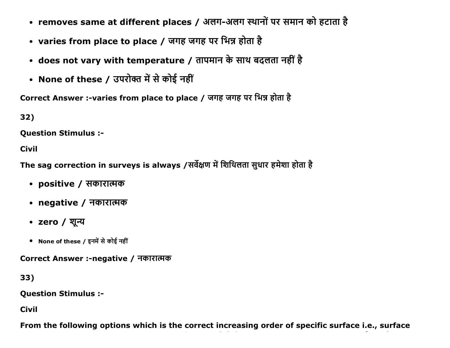- removes same at different places / अलग-अलग स्थानों पर समान को हटाता है
- varies from place to place / जगह जगह पर भिन्न होता है
- does not vary with temperature / तापमान के साथ बदलता नहीं है
- None of these / उपरोक्त में से कोई नहीं

Correct Answer :-varies from place to place / जगह जगह पर भिन्न होता है

32)

Question Stimulus :

Civil

The sag correction in surveys is always /सर्वेक्षण में शिथिलता सुधार हमेशा होता है

- positive / सकारात्मक
- negative / नकारात्मक
- zero / शून्य
- None of these / इनमें से कोई नहीं

Correct Answer :-negative / नकारात्मक

33)

Question Stimulus :

Civil

From the following options which is the correct increasing order of specific surface i.e., surface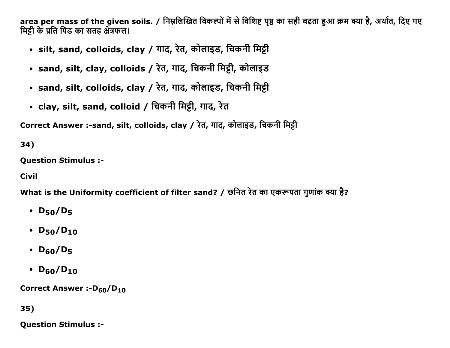area per mass of the given soils. / निम्नलिखित विकल्पों में से विशिष्ट पृष्ठ का सही बढ़ता हुआ क्रम क्या है, अर्थात, दिए गए मिट्टी के प्रति पिंड का सतह क्षेत्रफल।

- silt, sand, colloids, clay / गाद, रेत, कोलाइड, चिकनी मिट्टी
- sand, silt, clay, colloids / रेत, गाद, चिकनी मिट्टी, कोलाइड
- sand, silt, colloids, clay / रेत, गाद, कोलाइड, चिकनी मिट्टी
- clay, silt, sand, colloid / चिकनी मिट्टी, गाद, रेत

Correct Answer :-sand, silt, colloids, clay / रेत, गाद, कोलाइड, चिकनी मिट्टी

34)

Question Stimulus :

Civil

What is the Uniformity coefficient of filter sand? / छनित रेत का एकरूपता गुणांक क्या है?

- $D_{50}/D_5$
- $D_{50}/D_{10}$
- $\cdot$  D<sub>60</sub>/D<sub>5</sub>
- $D_{60}/D_{10}$

Correct Answer :-D<sub>60</sub>/D<sub>10</sub>

35)

Question Stimulus :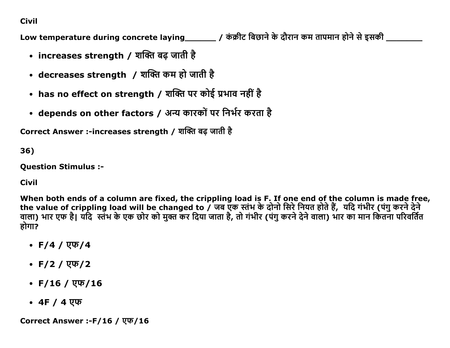# **Civil**

Low temperature during concrete laying\_\_\_\_\_\_\_\_ / कंक्रीट बिछाने के दौरान कम तापमान होने से इसकी \_\_\_\_\_\_\_\_

- increases strength / शक्ति बढ़ जाती है
- decreases strength / शक्ति कम हो जाती है
- has no effect on strength / शक्ति पर कोई प्रभाव नहीं है
- depends on other factors / अन्य कारकों पर निर्भर करता है

Correct Answer :-increases strength / शक्ति बढ जाती है

36)

**Ouestion Stimulus :-**

**Civil** 

When both ends of a column are fixed, the crippling load is F. If one end of the column is made free, the value of crippling load will be changed to / जब एक स्तंभ के दोनो सिरे नियत होते हैं, यदि गंभीर (पंगु करने देने वाला) भार एफ है। यदि स्तंभ के एक छोर को मुक्त कर दिया जाता है, तो गंभीर (पंगु करने देने वाला) भार का मान कितना परिवर्तित होगा?

- $F/4 / \sqrt{4}$
- $F/2 / \sqrt{F/2}$
- F/16 / एफ/16
- 4F / 4 एफ

Correct Answer :-F/16 / एफ/16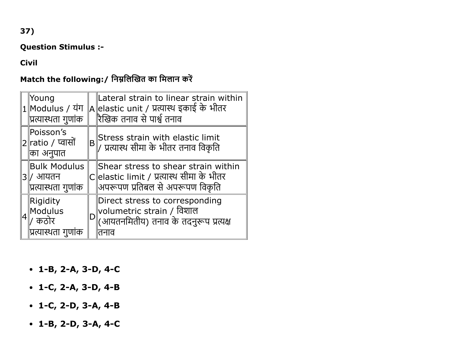Question Stimulus :

#### Civil

# Match the following:/ निम्नलिखित का मिलान करें

| ∣Young<br>$ 1 $ Modulus / यंग<br>∥प्रत्यास्थता गुणांक |    | Lateral strain to linear strain within<br> A  elastic unit / प्रत्यास्थ इकाई के भीतर<br>रिखिक तनाव से पार्श्व तनाव    |
|-------------------------------------------------------|----|-----------------------------------------------------------------------------------------------------------------------|
| Poisson's<br> 2∥ratio ∕ प्वासों<br>∥का अनुपात         | 'B | Stress strain with elastic limit<br>  / प्रत्यास्थ सीमा के भीतर तनाव विकृति                                           |
| Bulk Modulus<br>ं आयतन<br>∥प्रत्यास्थता गुणांक        |    | Shear stress to shear strain within<br>C  elastic limit / प्रत्यास्थ सीमा के भीतर<br> अपरूपण प्रतिबल से अपरूपण विकृति |
| Rigidity<br>Modulus<br>कठोर<br> प्रत्यास्थता गुणांक   |    | Direct stress to corresponding<br>  volumetric strain / विशाल<br> (आयतनमितीय) तनाव के तदनुरूप प्रत्यक्ष<br>तनाव       |

- $-1-B$ , 2-A, 3-D, 4-C
- $\cdot$  1-C, 2-A, 3-D, 4-B
- $\bullet$  1-C, 2-D, 3-A, 4-B
- $\bullet$  1-B, 2-D, 3-A, 4-C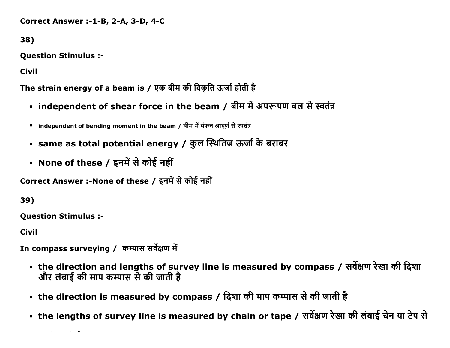Correct Answer :-1-B, 2-A, 3-D, 4-C

38)

Question Stimulus :

Civil

The strain energy of a beam is / एक बीम की विकृति ऊर्जा होती है

- independent of shear force in the beam / बीम में अपरूपण बल से स्वतंत्र
- independent of bending moment in the beam / बीम में बंकन आघूर्ण से स्वतंत्र
- same as total potential energy / कुल स्थितिज ऊर्जा के बराबर
- None of these / इनमें से कोई नहीं

Correct Answer :-None of these / इनमें से कोई नहीं

39)

Question Stimulus :

Civil

In compass surveying / कम्पास सर्वेक्षण में

- the direction and lengths of survey line is measured by compass / सर्वेक्षण रेखा की दिशा और लंबाई की माप कम्पास से की जाती है
- the direction is measured by compass / दिशा की माप कम्पास से की जाती है
- the lengths of survey line is measured by chain or tape / सर्वेक्षण रेखा की लंबाई चेन या टेप से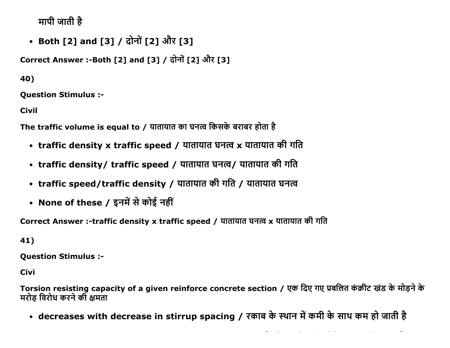मापी जाती है

• Both [2] and [3] / दोनों [2] और [3]

Correct Answer :-Both [2] and [3] / दोनों [2] और [3]

40)

**Ouestion Stimulus :-**

**Civil** 

The traffic volume is equal to / यातायात का घनत्व किसके बराबर होता है

- traffic density x traffic speed / यातायात घनत्व x यातायात की गति
- traffic density/ traffic speed / यातायात घनत्व/ यातायात की गति
- traffic speed/traffic density / यातायात की गति / यातायात घनत्व
- None of these / इनमें से कोई नहीं

Correct Answer :-traffic density x traffic speed / यातायात घनत्व x यातायात की गति

41)

**Question Stimulus :-**

**Civi** 

Torsion resisting capacity of a given reinforce concrete section / एक दिए गए प्रबलित कंक्रीट खंड के मोडने के मरोड विरोध करने की क्षमता

• decreases with decrease in stirrup spacing / रकाब के स्थान में कमी के साथ कम हो जाती है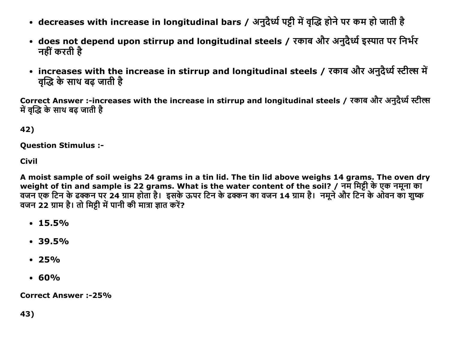- decreases with increase in longitudinal bars / अनुदैर्ध्य पट्टी में वृद्धि होने पर कम हो जाती है
- does not depend upon stirrup and longitudinal steels / रकाब और अनुदैर्ध्य इस्पात पर निर्भर नहीं करती है
- increases with the increase in stirrup and longitudinal steels / रकाब और अनुदैर्ध्य स्टील्स में वृद्धि के साथ बढ़ जाती है

Correct Answer :-increases with the increase in stirrup and longitudinal steels / रकाब और अनुदैर्ध्य स्टील्स में वद्धि के साथ बढ जाती है

42)

**Question Stimulus :-**

**Civil** 

A moist sample of soil weighs 24 grams in a tin lid. The tin lid above weighs 14 grams. The oven dry weight of tin and sample is 22 grams. What is the water content of the soil? / नम मिट्टी के एक नमूना का वजन एक टिन के ढक्कन पर 24 ग्राम होता है। इसके ऊपर टिन के ढक्कन का वजन 14 ग्राम है। नमूने और टिन के ओवन का शुष्क वजन 22 ग्राम है। तो मिट्टी में पानी की मात्रा ज्ञात करें?

- $\cdot$  15.5%
- $\cdot$  39.5%
- $\cdot$  25%
- $.60%$

**Correct Answer :-25%**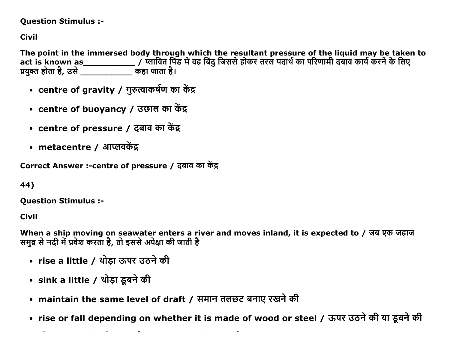#### **Question Stimulus :-**

**Civil** 

The point in the immersed body through which the resultant pressure of the liguid may be taken to प्रयुक्त होता है, उसे \_\_\_\_\_\_\_\_\_\_\_\_\_\_\_ कहा जाता है।

- centre of gravity / गुरुत्वाकर्षण का केंद्र
- centre of buoyancy / उछाल का केंद्र
- centre of pressure / दबाव का केंद्र
- metacentre / आप्लवकेंद्र

Correct Answer :- centre of pressure / दबाव का केंद्र

```
44)
```
**Ouestion Stimulus :-**

**Civil** 

When a ship moving on seawater enters a river and moves inland, it is expected to / जब एक जहाज समुद्र से नदी में प्रवेश करता है, तो इससे अपेक्षा की जाती है

- rise a little / थोड़ा ऊपर उठने की
- sink a little / थोड़ा डूबने की
- maintain the same level of draft / समान तलछट बनाए रखने की
- rise or fall depending on whether it is made of wood or steel / ऊपर उठने की या इबने की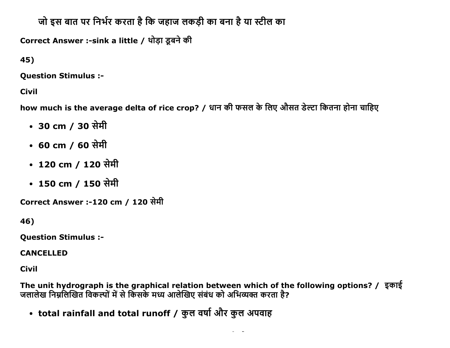# जो इस बात पर निर्भर करता है कि जहाज लकड़ी का बना है या स्टील का

Correct Answer :-sink a little / थोड़ा डूबने की

45)

**Question Stimulus :-**

**Civil** 

how much is the average delta of rice crop? / धान की फसल के लिए औसत डेल्टा कितना होना चाहिए

- 30 cm / 30 सेमी
- 60 cm / 60 सेमी
- 120 cm / 120 सेमी
- 150 cm / 150 सेमी

Correct Answer :-120 cm / 120 सेमी

46)

**Question Stimulus :-**

**CANCELLED** 

**Civil** 

The unit hydrograph is the graphical relation between which of the following options? / इकाई<br>जलालेख निम्नलिखित विकल्पों में से किसके मध्य आलेखिए संबंध को अभिव्यक्त करता है?

• total rainfall and total runoff / कुल वर्षा और कुल अपवाह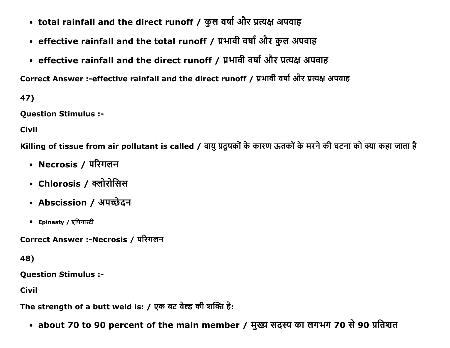- total rainfall and the direct runoff / कुल वर्षा और प्रत्यक्ष अपवाह
- effective rainfall and the total runoff / प्रभावी वर्षा और कुल अपवाह
- effective rainfall and the direct runoff / प्रभावी वर्षा और प्रत्यक्ष अपवाह

Correct Answer :-effective rainfall and the direct runoff / प्रभावी वर्षा और प्रत्यक्ष अपवाह

47)

**Question Stimulus :-**

**Civil** 

Killing of tissue from air pollutant is called / वायु प्रदूषकों के कारण ऊतकों के मरने की घटना को क्या कहा जाता है

- Necrosis / परिगलन
- Chlorosis / क्लोरोसिस
- Abscission / अपच्छेदन
- Epinasty / एपिनास्टी

Correct Answer :-Necrosis / परिगलन

48)

**Question Stimulus :-**

**Civil** 

The strength of a butt weld is: / एक बट वेल्ड की शक्ति है:

• about 70 to 90 percent of the main member / मुख्य सदस्य का लगभग 70 से 90 प्रतिशत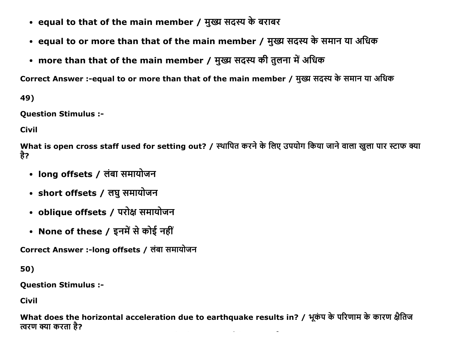- equal to that of the main member / मुख्य सदस्य के बराबर
- equal to or more than that of the main member / मुख्य सदस्य के समान या अधिक
- more than that of the main member / मुख्य सदस्य की तुलना में अधिक

Correct Answer :-equal to or more than that of the main member / मुख्य सदस्य के समान या अधिक

49)

**Question Stimulus :-**

**Civil** 

What is open cross staff used for setting out? / स्थापित करने के लिए उपयोग किया जाने वाला खुला पार स्टाफ क्या है?

- long offsets / लंबा समायोजन
- short offsets / लघु समायोजन
- oblique offsets / परोक्ष समायोजन
- None of these / इनमें से कोई नहीं

Correct Answer :-long offsets / लंबा समायोजन

50)

**Question Stimulus :-**

**Civil** 

What does the horizontal acceleration due to earthquake results in? / भूकंप के परिणाम के कारण क्षैतिज त्वरण क्या करता है?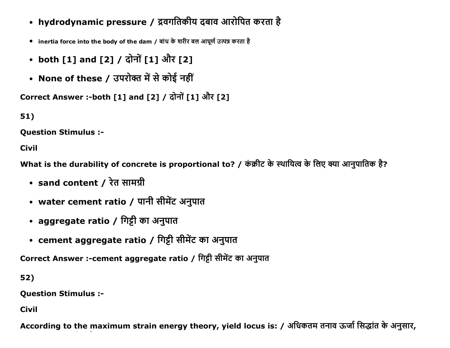- hydrodynamic pressure / द्रवगतिकीय दबाव आरोपित करता है
- inertia force into the body of the dam / बांध के शरीर बल आघूर्ण उत्पन्न करता है
- both [1] and [2] / दोनों [1] और [2]
- None of these / उपरोक्त में से कोई नहीं

```
Correct Answer :-both [1] and [2] / दोनों [1] और [2]
```
51)

**Question Stimulus :-**

**Civil** 

What is the durability of concrete is proportional to? / कंक्रीट के स्थायित्व के लिए क्या आनुपातिक है?

- sand content / रेत सामग्री
- water cement ratio / पानी सीमेंट अनुपात
- aggregate ratio / गिट्टी का अनुपात
- cement aggregate ratio / गिट्टी सीमेंट का अनुपात

Correct Answer :- cement aggregate ratio / गिट्टी सीमेंट का अनुपात

52)

**Question Stimulus :-**

**Civil** 

According to the maximum strain energy theory, yield locus is: / अधिकतम तनाव ऊर्जा सिद्धांत के अनुसार,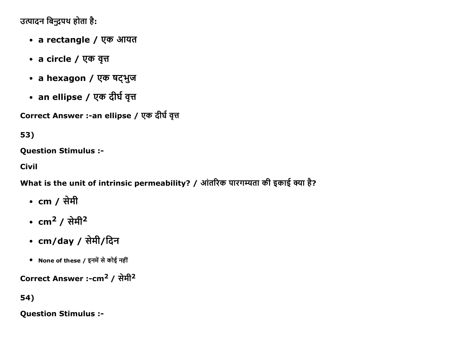उत्पादन बिन्द्रपथ होता है:

- a rectangle / एक आयत
- a circle / एक वृत्त
- a hexagon / एक षट्भुज
- an ellipse / एक दीर्घ वृत्त

Correct Answer :-an ellipse / एक दीर्घ वृत्त

53)

**Question Stimulus :-**

**Civil** 

What is the unit of intrinsic permeability? / आंतरिक पारगम्यता की इकाई क्या है?

- cm / सेमी
- $cm<sup>2</sup> /  $\pi$$
- $cm/day / \n{  $\hat{H}H$  /  $\hat{G}T$$
- None of these / इनमें से कोई नहीं

Correct Answer :-cm<sup>2</sup> / सेमी<sup>2</sup>

54)

**Question Stimulus :-**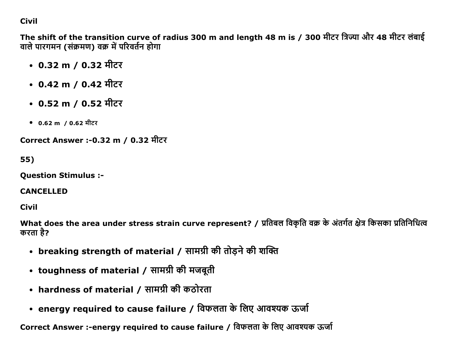# **Civil**

The shift of the transition curve of radius 300 m and length 48 m is / 300 मीटर त्रिज्या और 48 मीटर लंबाई वाले पारगमन (संक्रमण) वक्र में परिवर्तन होगा

- 0.32 m / 0.32 मीटर
- 0.42 m / 0.42 मीटर
- $0.52 \text{ m}$  /  $0.52 \text{ H}$ टर
- 0.62 m / 0.62 मीटर

Correct Answer :- 0.32 m / 0.32 मीटर

```
55)
```
**Question Stimulus :-**

#### **CANCELLED**

Civil

What does the area under stress strain curve represent? / प्रतिबल विकृति वक्र के अंतर्गत क्षेत्र किसका प्रतिनिधित्व करता है?

- breaking strength of material / सामग्री की तोड़ने की शक्ति
- toughness of material / सामग्री की मजबूती
- hardness of material / सामग्री की कठोरता
- energy required to cause failure / विफलता के लिए आवश्यक ऊर्जा

Correct Answer :-energy required to cause failure / विफलता के लिए आवश्यक ऊर्जा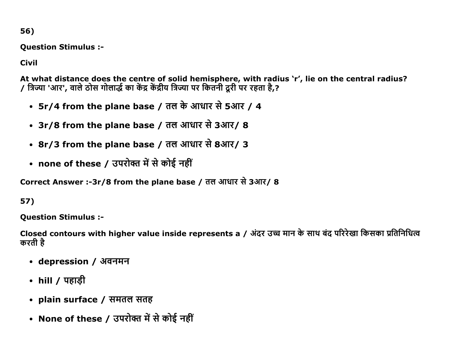56)

Question Stimulus :

Civil

At what distance does the centre of solid hemisphere, with radius 'r', lie on the central radius? / त्रिज्या 'आर', वाले ठोस गोलाद्धे का केंद्र केंद्रीय त्रिज्या पर कितनी दूरी पर रहता है,?

- $5r/4$  from the plane base / तल के आधार से 5आर / 4
- 3r/8 from the plane base / तल आधार से 3आर/ 8
- 8r/3 from the plane base / तल आधार से 8आर/ 3
- none of these / उपरोक्त में से कोई नहीं

Correct Answer :-3r/8 from the plane base / तल आधार से 3आर/ 8

57)

Question Stimulus :

Closed contours with higher value inside represents a / अंदर उच्च मान के साथ बंद परिरेखा किसका प्रतिनिधित्व करती है

- depression / अवनमन
- hill /  $\overline{q}$  varigh
- plain surface / समतल सतह
- None of these / उपरोक्त में से कोई नहीं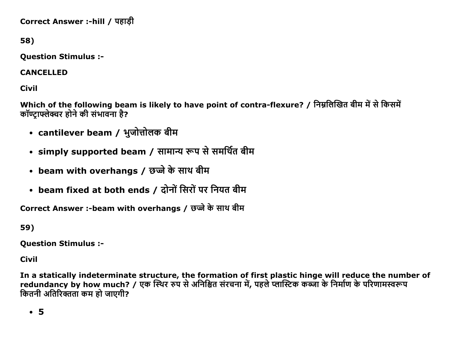Correct Answer :-hill / पहाड़ी

58)

Question Stimulus :

CANCELLED

Civil

Which of the following beam is likely to have point of contra-flexure? / निम्नलिखित बीम में से किसमें कॉण्टाफ्लेक्चर होने की संभावना है?

- cantilever beam / भुजोत्तोलक बीम
- simply supported beam / सामान्य रूप से समर्थित बीम
- beam with overhangs / छज्जे के साथ बीम
- beam fixed at both ends / दोनों सिरों पर नियत बीम

Correct Answer :-beam with overhangs / छज्जे के साथ बीम

59)

Question Stimulus :

Civil

In a statically indeterminate structure, the formation of first plastic hinge will reduce the number of redundancy by how much? / एक स्थिर रुप से अनिश्चित संरचना में, पहले प्लास्टिक कब्जा के निर्माण के परिणामस्वरूप कितनी अतिरिक्तता कम हो जाएगी?

5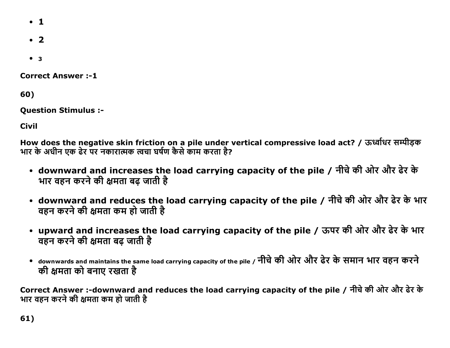- $\cdot$  1
- $\cdot$  2
- $3$

**Correct Answer:-1** 

60)

**Question Stimulus :-**

**Civil** 

How does the negative skin friction on a pile under vertical compressive load act? / ऊर्ध्वाधर सम्पीड़क भार के अधीन एक ढेर पर नकारात्मक त्वचा घर्षण कैसे काम करता है?

- downward and increases the load carrying capacity of the pile / नीचे की ओर और ढेर के भार वहन करने की क्षमता बढ़ जाती है
- downward and reduces the load carrying capacity of the pile / नीचे की ओर और ढेर के भार वहन करने की क्षमता कम हो जाती है
- upward and increases the load carrying capacity of the pile / ऊपर की ओर और ढेर के भार वहन करने की क्षमता बढ़ जाती है
- downwards and maintains the same load carrying capacity of the pile / नीचे की ओर और ढेर के समान भार वहन करने की क्षमता को बनाए रखता है

Correct Answer :-downward and reduces the load carrying capacity of the pile / नीचे की ओर और ढेर के भार वहन करने की क्षमता कम हो जाती है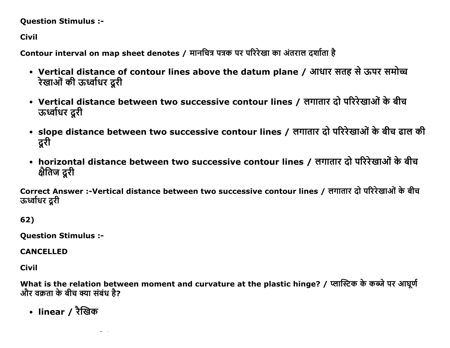#### Question Stimulus :

Civil

Contour interval on map sheet denotes / मानचित्र पत्रक पर परिरेखा का अंतराल दर्शाता है

- Vertical distance of contour lines above the datum plane / आधार सतह से ऊपर समोच्च रेखाओं की ऊर्ध्वाधर दूरी
- Vertical distance between two successive contour lines / लगातार दो परिरेखाओं के बीच ऊर्ध्वाधर दूरी
- slope distance between two successive contour lines / लगातार दो परिरेखाओं के बीच ढाल की दुरी
- horizontal distance between two successive contour lines / लगातार दो परिरेखाओं के बीच क्षैतिज दूरी

Correct Answer :-Vertical distance between two successive contour lines / लगातार दो परिरेखाओं के बीच ऊर्ध्वाधर दरी

62)

Question Stimulus :

CANCELLED

Civil

What is the relation between moment and curvature at the plastic hinge? / प्लास्टिक के कब्जे पर आघूर्ण और वक्रता के बीच क्या संबंध है?

• linear / रैखिक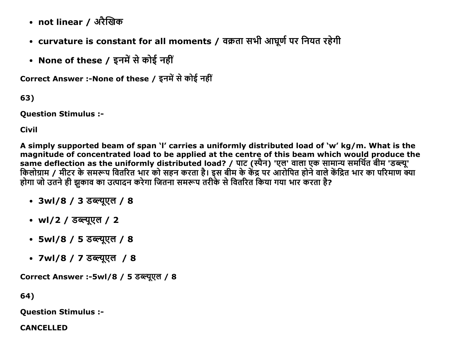- not linear / अरैखिक
- curvature is constant for all moments / वक्रता सभी आघूर्ण पर नियत रहेगी
- None of these / इनमें से कोई नहीं

Correct Answer :-None of these / इनमें से कोई नहीं

63)

**Question Stimulus :-**

**Civil** 

A simply supported beam of span 'I' carries a uniformly distributed load of 'w' kg/m. What is the magnitude of concentrated load to be applied at the centre of this beam which would produce the same deflection as the uniformly distributed load? / पाट (स्पैन) 'एल' वाला एक सामान्य समर्थित बीम 'डब्ल्यू'<br>किलोग्राम / मीटर के समरूप वितरित भार को सहन करता है। इस बीम के केंद्र पर आरोपित होने वाले केंद्रित भार का परिमाण होगा जो उतने ही झुकाव का उत्पादन करेगा जितना समरूप तरीके से वितरित किया गया भार करता है?

- 3wl/8 / 3 डब्ल्यूएल / 8
- wl/2 / डब्ल्युएल / 2
- 5wl/8 / 5 डब्ल्युएल / 8
- 7wl/8 / 7 डब्ल्युएल / 8

Correct Answer :-5wl/8 / 5 डब्ल्यूएल / 8

64)

**Question Stimulus :-**

**CANCELLED**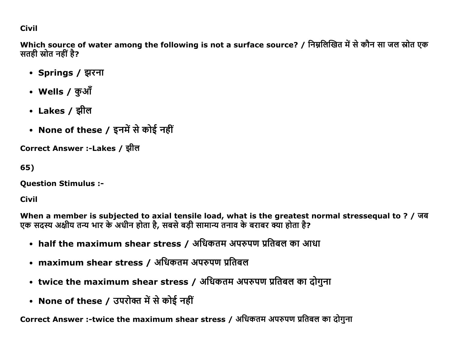# **Civil**

Which source of water among the following is not a surface source? / निम्नलिखित में से कौन सा जल स्रोत एक सतही स्रोत नहीं है?

- Springs / झरना
- Wells / कुऑ
- Lakes / झील
- None of these / इनमें से कोई नहीं

Correct Answer :-Lakes / झील

65)

**Question Stimulus :-**

**Civil** 

When a member is subjected to axial tensile load, what is the greatest normal stressequal to ? / जब<br>एक सदस्य अक्षीय तन्य भार के अधीन होता है, सबसे बड़ी सामान्य तनाव के बराबर क्या होता है?

- half the maximum shear stress / अधिकतम अपरुपण प्रतिबल का आधा
- maximum shear stress / अधिकतम अपरुपण प्रतिबल
- twice the maximum shear stress / अधिकतम अपरुपण प्रतिबल का दोगुना
- None of these / उपरोक्त में से कोई नहीं

Correct Answer :-twice the maximum shear stress / अधिकतम अपरुपण प्रतिबल का दोगुना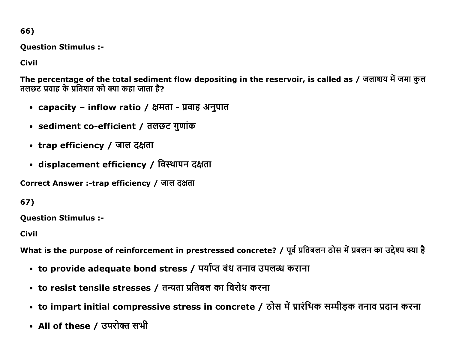66)

**Question Stimulus :-**

**Civil** 

The percentage of the total sediment flow depositing in the reservoir, is called as / जलाशय में जमा कल तलछट प्रवाह के प्रतिशत को क्या कहा जाता है?

- capacity inflow ratio / क्षमता प्रवाह अनुपात
- sediment co-efficient / तलछट गुणांक
- trap efficiency / जाल दक्षता
- displacement efficiency / विस्थापन दक्षता

Correct Answer :-trap efficiency / जाल दक्षता

67)

**Question Stimulus :-**

**Civil** 

What is the purpose of reinforcement in prestressed concrete? / पूर्व प्रतिबलन ठोस में प्रबलन का उद्देश्य क्या है

- to provide adequate bond stress / पर्याप्त बंध तनाव उपलब्ध कराना
- to resist tensile stresses / तन्यता प्रतिबल का विरोध करना
- to impart initial compressive stress in concrete / ठोस में प्रारंभिक सम्पीड़क तनाव प्रदान करना
- All of these / उपरोक्त सभी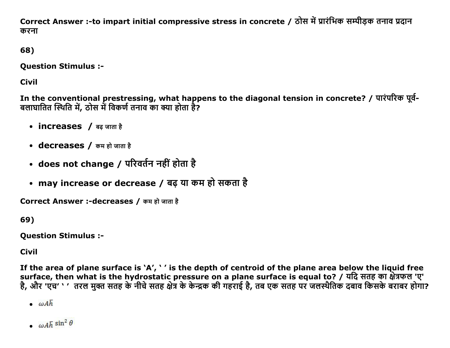Correct Answer :-to impart initial compressive stress in concrete / ठोस में प्रारंभिक सम्पीडक तनाव प्रदान करना

68)

Question Stimulus :

Civil

In the conventional prestressing, what happens to the diagonal tension in concrete? / पारंपरिक पूर्व-बलाघातित स्थिति में, ठोस में विकर्ण तनाव का क्या होता है?

- increases / बढ जाता है
- decreases / कम हो जाता है
- does not change / परिवर्तन नहीं होता है
- may increase or decrease / बढ़ या कम हो सकता है

Correct Answer :-decreases / कम हो जाता है

69)

Question Stimulus :

Civil

If the area of plane surface is 'A', ' ' is the depth of centroid of the plane area below the liquid free surface, then what is the hydrostatic pressure on a plane surface is equal to? / यदि सतह का क्षेत्रफल 'ए' है, और 'एच' ` ' तरल मुक्त सतह के नीचे सतह क्षेत्र के केन्द्रक की गहराई है, तब एक सतह पर जलस्थैतिक दबाव किसके बराबर होगा?

 $\omega Ah$ 

 $\omega A\bar{h} \sin^2 \theta$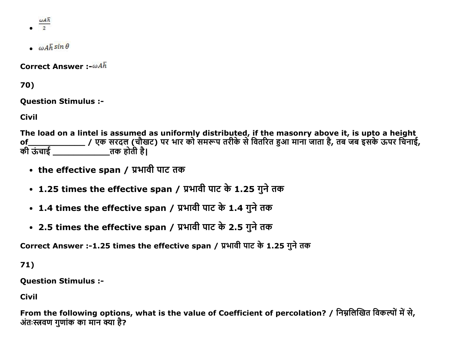$\frac{\omega A \overline{h}}{2}$ 

- 
- $\omega A \overline{h} \sin \theta$

**Correct Answer:**- $\omega A\bar{h}$ 

70)

**Question Stimulus :-**

**Civil** 

The load on a lintel is assumed as uniformly distributed, if the masonry above it, is upto a height of\_\_\_\_\_\_\_\_\_\_\_\_\_\_\_\_\_\_\_\_\_\_\_/ एक सरदल (चौखट) पर भार को समरूप तरीके से वितरित हुआ माना जाता है, तब जब इसके ऊपर चिनाई,<br>की ऊंचाई \_\_\_\_\_\_\_\_\_\_\_\_\_\_\_\_\_\_\_\_तक होती है।

- the effective span / प्रभावी पाट तक
- 1.25 times the effective span / प्रभावी पाट के 1.25 गुने तक
- 1.4 times the effective span / प्रभावी पाट के 1.4 गुने तक
- 2.5 times the effective span / प्रभावी पाट के 2.5 गुने तक

Correct Answer :-1.25 times the effective span / प्रभावी पाट के 1.25 गुने तक

 $71)$ 

**Ouestion Stimulus :-**

**Civil** 

From the following options, what is the value of Coefficient of percolation? / निम्नलिखित विकल्पों में से, अंतःस्त्रवण गुणांक का मान क्या है?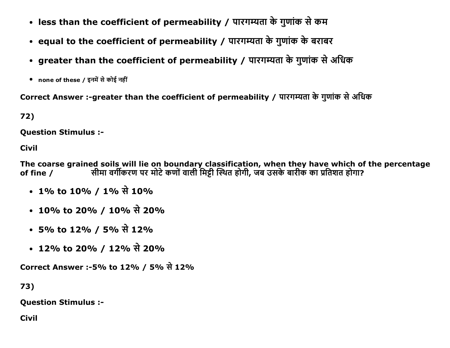- less than the coefficient of permeability / पारगम्यता के गुणांक से कम
- equal to the coefficient of permeability / पारगम्यता के गुणांक के बराबर
- greater than the coefficient of permeability / पारगम्यता के गुणांक से अधिक
- none of these / इनमें से कोई नहीं

Correct Answer :-greater than the coefficient of permeability / पारगम्यता के गुणांक से अधिक

72)

**Ouestion Stimulus :-**

**Civil** 

The coarse grained soils will lie on boundary classification, when they have which of the percentage सीमा वर्गीकरण पर मोटे कणों वाली मिट्टी स्थित होगी, जब उसके बारीक का प्रतिशत होगा? of fine  $/$ 

- 1% to 10% / 1% से 10%
- 10% to 20% / 10% से 20%
- 5% to 12% / 5% से 12%
- 12% to 20% / 12% से 20%

Correct Answer :-5% to 12% / 5% से 12%

73)

**Question Stimulus :-**

**Civil**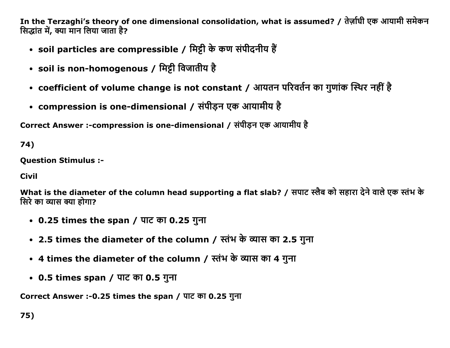In the Terzaghi's theory of one dimensional consolidation, what is assumed? / तेर्ज़ाघी एक आयामी समेकन सिद्धांत में, क्या मान लिया जाता है?

- soil particles are compressible / मिट्टी के कण संपीदनीय हैं
- soil is non-homogenous / मिट्टी विजातीय है
- coefficient of volume change is not constant / आयतन परिवर्तन का गुणांक स्थिर नहीं है
- compression is one-dimensional / संपीड़न एक आयामीय है

Correct Answer :-compression is one-dimensional / संपीडन एक आयामीय है

74)

Question Stimulus :

Civil

What is the diameter of the column head supporting a flat slab? / सपाट स्लैब को सहारा देने वाले एक स्तंभ के सिरे का व्यास क्या होगा?

- $\cdot$  0.25 times the span / पाट का 0.25 गुना
- 2.5 times the diameter of the column / स्तंभ के व्यास का 2.5 गुना
- 4 times the diameter of the column / स्तंभ के व्यास का 4 गुना
- $\cdot$  0.5 times span / पाट का 0.5 गुना

Correct Answer :-0.25 times the span / पाट का 0.25 गुना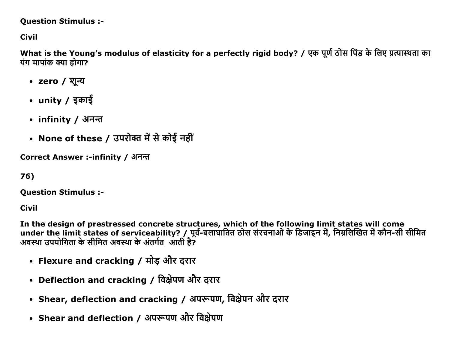#### **Question Stimulus :-**

# **Civil**

What is the Young's modulus of elasticity for a perfectly rigid body? / एक पूर्ण ठोस पिंड के लिए प्रत्यास्थता का यंग मापांक क्या होगा?

- zero / शून्य
- unity / इकाई
- infinity / अनन्त
- None of these / उपरोक्त में से कोई नहीं

Correct Answer :-infinity / अनन्त

```
76)
```
**Question Stimulus :-**

**Civil** 

In the design of prestressed concrete structures, which of the following limit states will come under the limit states of serviceability? / पूर्व-बलाघातित ठोस संरचनाओं के डिजाइन में, निम्नलिखित में कौन-सी सीमित अवस्था उपयोगिता के सीमित अवस्था के अंतर्गत आती है?

- Flexure and cracking / मोड़ और दरार
- Deflection and cracking / विक्षेपण और दरार
- Shear, deflection and cracking / अपरूपण, विक्षेपन और दरार
- Shear and deflection / अपरूपण और विक्षेपण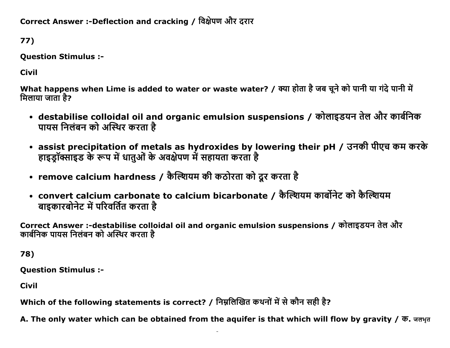Correct Answer :-Deflection and cracking / विक्षेपण और दरार

77)

Question Stimulus :

Civil

What happens when Lime is added to water or waste water? / क्या होता है जब चुने को पानी या गंदे पानी में मिलाया जाता है?

- destabilise colloidal oil and organic emulsion suspensions / कोलाइडयन तेल और कार्बनिक पायस निलंबन को अस्थिर करता है
- assist precipitation of metals as hydroxides by lowering their pH / उनकी पीएच कम करके हाइडॉक्साइड के रूप में धातुओं के अवक्षेपण में सहायता करता है
- remove calcium hardness / कैल्शियम की कठोरता को दूर करता है
- convert calcium carbonate to calcium bicarbonate / कैल्शियम कार्बोनेट को कैल्शियम बाइकारबोनेट में परिवर्तित करता है

Correct Answer :-destabilise colloidal oil and organic emulsion suspensions / कोलाइडयन तेल और कार्बनिक पायस निलंबन को अस्थिर करता है

78)

Question Stimulus :

Civil

Which of the following statements is correct? / निम्नलिखित कथनों में से कौन सही है?

A. The only water which can be obtained from the aquifer is that which will flow by gravity / क. जलभूत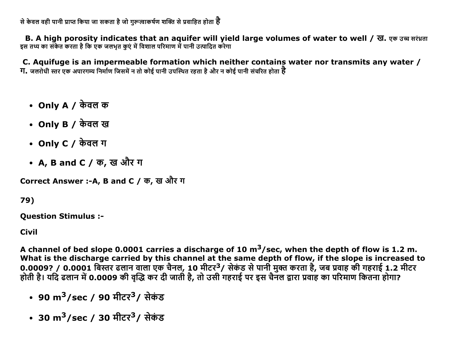से केवल वही पानी प्राप्त किया जा सकता है जो गरूत्वाकर्षण शक्ति से प्रवाहित होता **है** 

B. A high porosity indicates that an aquifer will yield large volumes of water to well / ख. एक उच्च सरंध्रता इस तथ्य का संकेत करता है कि एक जलभत कएं में विशाल परिमाण में पानी उत्पादित करेगा

C. Aquifuge is an impermeable formation which neither contains water nor transmits any water / **ग.** जलरोधी स्तर एक अपारगम्य निर्माण जिसमें न तो कोई पानी उपस्थित रहता है और न कोई पानी संचरित होता **है** 

- Only A  $\prime$  केवल क
- Only B / केवल ख
- Only  $C / \overline{\phi}$ वल ग
- A, B and C / क, ख और ग

Correct Answer :-A, B and C / क, ख और ग

79)

**Question Stimulus :-**

**Civil** 

A channel of bed slope 0.0001 carries a discharge of 10  $m^3$ /sec, when the depth of flow is 1.2 m. What is the discharge carried by this channel at the same depth of flow, if the slope is increased to 0.0009? / 0.0001 बिस्तर ढलान वाला एक चैनल, 10 मीटर<sup>3</sup>/ सेकंड से पानी मुक्त करता है, जब प्रवाह की गहराई 1.2 मीटर होती है। यदि ढलान में 0.0009 की वृद्धि कर दी जाती है, तो उसी गहराई पर इस चैनल द्वारा प्रवाह का परिमाण कितना होगा?

- 90 m<sup>3</sup>/sec / 90 मीटर<sup>3</sup>/ सेकंड
- 30 m<sup>3</sup>/sec / 30 मीटर<sup>3</sup>/ सेकंड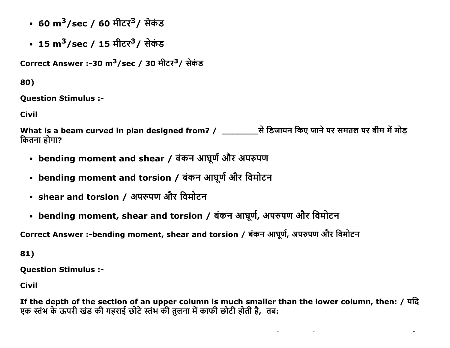- 60 m<sup>3</sup>/sec / 60 मीटर<sup>3</sup>/ सेकंड
- 15 m<sup>3</sup>/sec / 15 मीटर<sup>3</sup>/ सेकंड

Correct Answer :-30 m<sup>3</sup>/sec / 30 मीटर<sup>3</sup>/ सेकंड

80)

**Question Stimulus :-**

**Civil** 

कितना होगा?

- bending moment and shear / बंकन आघूर्ण और अपरुपण
- bending moment and torsion / बंकन आघूर्ण और विमोटन
- shear and torsion / अपरुपण और विमोटन
- bending moment, shear and torsion / बंकन आघूर्ण, अपरुपण और विमोटन

Correct Answer :-bending moment, shear and torsion / बंकन आघूर्ण, अपरुपण और विमोटन

81)

**Question Stimulus :-**

**Civil** 

If the depth of the section of an upper column is much smaller than the lower column, then: / यदि एक स्तंभ के ऊपरी खंड की गहराई छोटे स्तंभ की तुलना में काफी छोटी होती है, तब: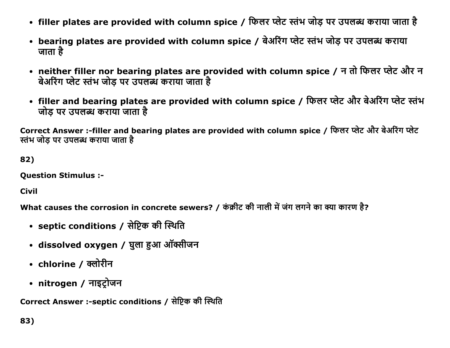- filler plates are provided with column spice / फिलर प्लेट स्तंभ जोड़ पर उपलब्ध कराया जाता है
- bearing plates are provided with column spice / बेअरिंग प्लेट स्तंभ जोड़ पर उपलब्ध कराया जाता है $\,$
- neither filler nor bearing plates are provided with column spice / न तो फिलर प्लेट और न बेअरिंग प्लेट स्तंभ जोड पर उपलब्ध कराया जाता है
- filler and bearing plates are provided with column spice / फिलर प्लेट और बेअरिंग प्लेट स्तंभ जोड पर उपलब्ध कराया जाता है

Correct Answer :-filler and bearing plates are provided with column spice / फिलर प्लेट और बेअरिंग प्लेट स्तंभ जोड पर उपलब्ध कराया जाता है

82)

Question Stimulus :

Civil

What causes the corrosion in concrete sewers? / कंक्रीट की नाली में जंग लगने का क्या कारण है?

- septic conditions / सेप्टिक की स्थिति
- dissolved oxygen / घुला हुआ ऑक्सीजन
- chlorine / क्लोरीन
- nitrogen / नाइट्रोजन

Correct Answer :-septic conditions / सेप्टिक की स्थिति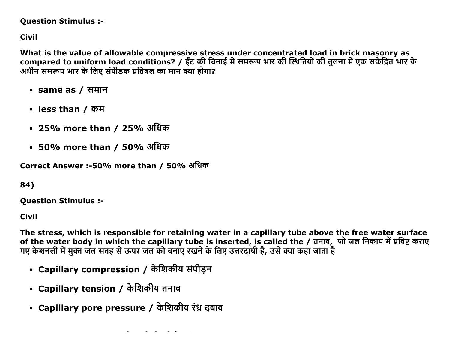#### **Question Stimulus :-**

**Civil** 

What is the value of allowable compressive stress under concentrated load in brick masonry as compared to uniform load conditions? / ईंट की चिनाई में समरूप भार की स्थितियों की तुलना में एक सकेंद्रित भार के अधीन समरूप भार के लिए संपीडक प्रतिबल का मान क्या होगा?

- same as / समान
- less than / कम
- 25% more than / 25% अधिक
- 50% more than / 50% अधिक

Correct Answer :-50% more than / 50% अधिक

84)

**Ouestion Stimulus :-**

**Civil** 

The stress, which is responsible for retaining water in a capillary tube above the free water surface of the water body in which the capillary tube is inserted, is called the / तनाव, जो जल निकाय में प्रविष्ट कराए<br>गए केशनली में मुक्त जल सतह से ऊपर जल को बनाए रखने के लिए उत्तरदायी है, उसे क्या कहा जाता है

- Capillary compression / केशिकीय संपीड़न
- Capillary tension / केशिकीय तनाव
- Capillary pore pressure / केशिकीय रंध्र दबाव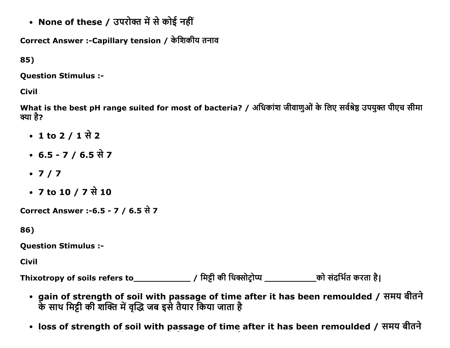• None of these / उपरोक्त में से कोई नहीं

Correct Answer :-Capillary tension / केशिकीय तनाव

85)

**Question Stimulus :-**

**Civil** 

What is the best pH range suited for most of bacteria? / अधिकांश जीवाणुओं के लिए सर्वश्रेष्ठ उपयुक्त पीएच सीमा क्या है?

- 1 to 2 / 1 से 2
- 6.5 7 / 6.5 से 7
- $.7/7$
- 7 to 10 / 7 से 10

Correct Answer :-6.5 - 7 / 6.5 से 7

86)

**Question Stimulus :-**

Civil

- gain of strength of soil with passage of time after it has been remoulded / समय बीतने के साथ मिट्टी की शक्ति में वृद्धि जब इसे तैयार किया जाता है
- loss of strength of soil with passage of time after it has been remoulded / समय बीतने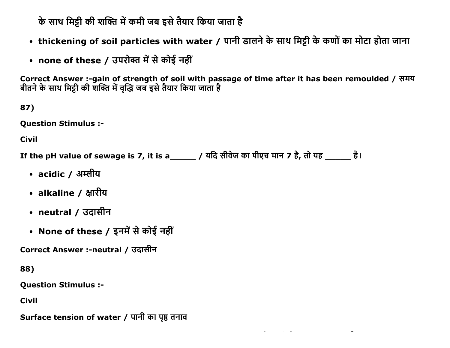के साथ मिट्टी की शक्ति में कमी जब इसे तैयार किया जाता है

- thickening of soil particles with water / पानी डालने के साथ मिट्टी के कणों का मोटा होता जाना
- none of these / उपरोक्त में से कोई नहीं

Correct Answer :-gain of strength of soil with passage of time after it has been remoulded / समय बीतने के साथ मिट्टी की शक्ति में वृद्धि जब इसे तैयार किया जाता है

87)

**Question Stimulus :-**

**Civil** 

If the pH value of sewage is 7, it is a\_\_\_\_\_\_ / यदि सीवेज का पीएच मान 7 है, तो यह \_\_\_\_\_\_ है।

- acidic / अम्लीय
- alkaline / क्षारीय
- neutral / उदासीन
- None of these / इनमें से कोई नहीं

Correct Answer :-neutral / उदासीन

88)

**Question Stimulus :-**

**Civil** 

Surface tension of water / पानी का पृष्ठ तनाव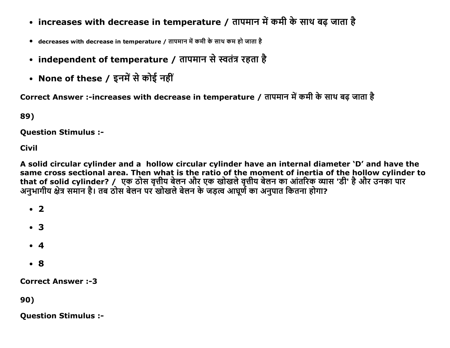- increases with decrease in temperature / तापमान में कमी के साथ बढ़ जाता है
- decreases with decrease in temperature / तापमान में कमी के साथ कम हो जाता है
- independent of temperature / तापमान से स्वतंत्र रहता है
- None of these / इनमें से कोई नहीं

Correct Answer :-increases with decrease in temperature / तापमान में कमी के साथ बढ जाता है

89)

**Question Stimulus :-**

**Civil** 

A solid circular cylinder and a hollow circular cylinder have an internal diameter 'D' and have the same cross sectional area. Then what is the ratio of the moment of inertia of the hollow cylinder to र समार्ग के उन्हें पर कारण में कहा गया है। कहा कि समार्थ का समार्थ के लिए साथ का आंतरिक व्यास 'डी' है और उनका<br>अनुभागीय क्षेत्र समान है। तब ठोस बेलन पर खोखले बेलन के जड़त्व आघूर्ण का अनुपात कितना होगा?

 $\cdot$  2

- $\bullet$  3
- $\bullet$  4
- $\cdot$  8

**Correct Answer:-3** 

90)

**Question Stimulus :-**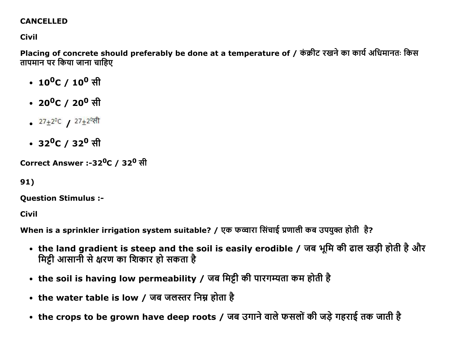## **CANCELLED**

## **Civil**

Placing of concrete should preferably be done at a temperature of / कंक्रीट रखने का कार्य अधिमानतः किस तापमान पर किया जाना चाहिए

- $10^0C / 10^0$  सी
- 20<sup>0</sup>C / 20<sup>0</sup> सी
- $27\pm2^0$ C /  $27\pm2^0$ सी
- 32<sup>0</sup>C / 32<sup>0</sup> सी

Correct Answer :-32<sup>0</sup>C / 32<sup>0</sup> सी

91)

**Question Stimulus :-**

**Civil** 

When is a sprinkler irrigation system suitable? / एक फव्वारा सिंचाई प्रणाली कब उपयुक्त होती है?

- the land gradient is steep and the soil is easily erodible / जब भूमि की ढाल खड़ी होती है और मिट्टी आसानी से क्षरण का शिकार हो सकता है
- the soil is having low permeability / जब मिट्टी की पारगम्यता कम होती है
- the water table is low / जब जलस्तर निम्न होता है
- the crops to be grown have deep roots / जब उगाने वाले फसलों की जड़े गहराई तक जाती है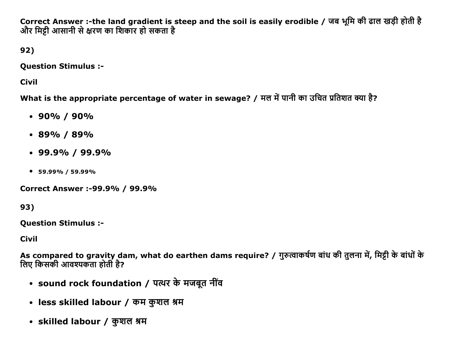Correct Answer :-the land gradient is steep and the soil is easily erodible / जब भूमि की ढाल खड़ी होती है और मिट्टी आसानी से क्षरण का शिकार हो सकता है

92)

Question Stimulus :

Civil

What is the appropriate percentage of water in sewage? / मल में पानी का उचित प्रतिशत क्या है?

- $\cdot$  90% / 90%
- $\cdot$  89% / 89%
- $\cdot$  99.9% / 99.9%
- 59.99% / 59.99%

Correct Answer :99.9% / 99.9%

93)

Question Stimulus :

Civil

As compared to gravity dam, what do earthen dams require? / गुरुत्वाकर्षण बांध की तुलना में, मिट्टी के बांधों के लिए किसकी आवश्यकता होती है?

- sound rock foundation / पत्थर के मजबूत नींव
- less skilled labour / कम कुशल श्रम
- skilled labour / कुशल श्रम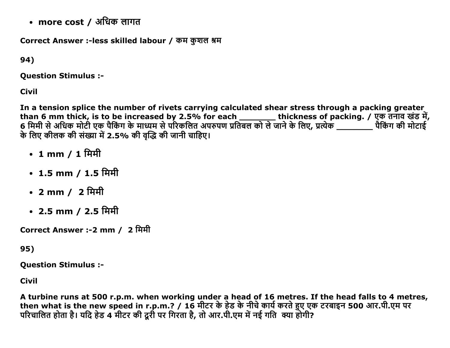• more cost / अधिक लागत

Correct Answer :-less skilled labour / कम कुशल श्रम

94)

Question Stimulus :

Civil

In a tension splice the number of rivets carrying calculated shear stress through a packing greater than 6 mm thick, is to be increased by 2.5% for each \_\_\_\_\_\_\_\_\_ thickness of packing. / एक तनाव खड मं, 6 मिमी से अधिक मोटी एक पैकिंग के माध्यम से परिकलित अपरुपण प्रतिबल को ले जाने के लिए, प्रत्येक \_\_\_\_\_\_\_\_ पैकिंग की मोटाई के लिए कीलक की संख्या में 2.5% की वृद्धि की जानी चाहिए।

- 1 mm / 1 मिमी
- $\cdot$  1.5 mm / 1.5 मिमी
- 2 mm / 2 मिमी
- 2.5 mm / 2.5 मिमी

Correct Answer :-2 mm / 2 मिमी

95)

Question Stimulus :

Civil

A turbine runs at 500 r.p.m. when working under a head of 16 metres. If the head falls to 4 metres, then what is the new speed in r.p.m.? / 16 मीटर के हेड के नीचे कार्य करते हुए एक टरबाइन 500 आर.पी.एम पर परिचालित होता है। यदि हैंड 4 मीटर की दूरी पर गिरता है, तो आर.पी.एम में नई गति क्या होगी?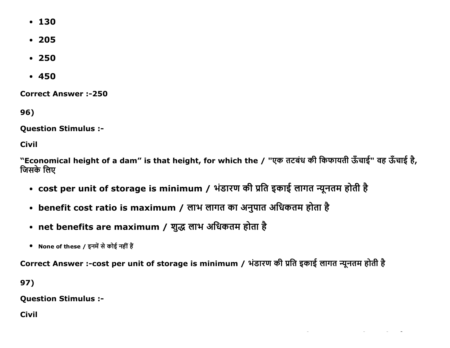- $130$
- $205$
- $250$
- $-450$

**Correct Answer:-250** 

96)

**Question Stimulus :-**

**Civil** 

"Economical height of a dam" is that height, for which the / "एक तटबंध की किफायती ऊँचाई" वह ऊँचाई है, जिसके लिए

- cost per unit of storage is minimum / भंडारण की प्रति इकाई लागत न्यूनतम होती है
- benefit cost ratio is maximum / लाभ लागत का अनुपात अधिकतम होता है
- net benefits are maximum / शुद्ध लाभ अधिकतम होता है
- None of these / इनमें से कोई नहीं हैं

Correct Answer :-cost per unit of storage is minimum / भंडारण की प्रति इकाई लागत न्यूनतम होती है

97)

**Question Stimulus :-**

**Civil**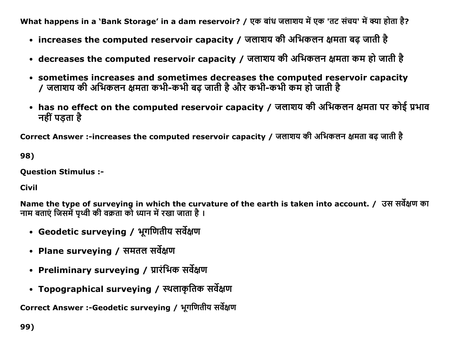What happens in a `Bank Storage' in a dam reservoir? / एक बांध जलाशय में एक 'तट संचय' में क्या होता है?

- increases the computed reservoir capacity / जलाशय की अभिकलन क्षमता बढ़ जाती है
- decreases the computed reservoir capacity / जलाशय की अभिकलन क्षमता कम हो जाती है
- sometimes increases and sometimes decreases the computed reservoir capacity / जलाशय की अभिकलन क्षमता कभी-कभी बढ़ जाती है और कभी-कभी कम हो जाती है
- has no effect on the computed reservoir capacity / जलाशय की अभिकलन क्षमता पर कोई प्रभाव नहीं पडता है

Correct Answer :-increases the computed reservoir capacity / जलाशय की अभिकलन क्षमता बढ़ जाती है

98)

**Question Stimulus :-**

**Civil** 

Name the type of surveying in which the curvature of the earth is taken into account. / उस सर्वेक्षण का नाम बताएं जिसमें पृथ्वी की वक्रता को ध्यान में रखा जाता है ।

- Geodetic surveying / भूगणितीय सर्वेक्षण
- Plane surveying / समतल सर्वेक्षण
- Preliminary surveying / प्रारंभिक सर्वेक्षण
- Topographical surveying / स्थलाकृतिक सर्वेक्षण

Correct Answer :-Geodetic surveying / भूगणितीय सर्वेक्षण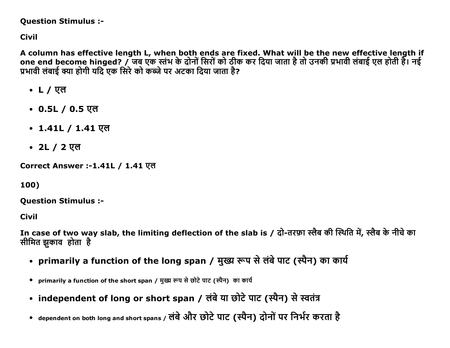## **Question Stimulus :-**

**Civil** 

A column has effective length L, when both ends are fixed. What will be the new effective length if one end become hinged? / जब एक स्तंभ के दोनों सिरों को ठीक कर दिया जाता है तो उनकी प्रभावी लंबाई एल होती है। नई प्रभावी लंबाई क्या होगी यदि एक सिरे को कब्जे पर अटका दिया जाता है?

- L / एल
- $0.5L / 0.5$  एल
- 1.41L / 1.41 एल
- 2L / 2 एल

Correct Answer :-1.41L / 1.41 एल

100)

**Ouestion Stimulus :-**

**Civil** 

In case of two way slab, the limiting deflection of the slab is / दो-तरफ़ा स्लैब की स्थिति में, स्लैब के नीचे का सीमित झकाव होता है

- primarily a function of the long span / मुख्य रूप से लंबे पाट (स्पैन) का कार्य
- primarily a function of the short span / मुख्य रूप से छोटे पाट (स्पैन) का कार्य
- independent of long or short span / लंबे या छोटे पाट (स्पैन) से स्वतंत्र
- dependent on both long and short spans / लंबे और छोटे पाट (स्पैन) दोनों पर निर्भर करता है